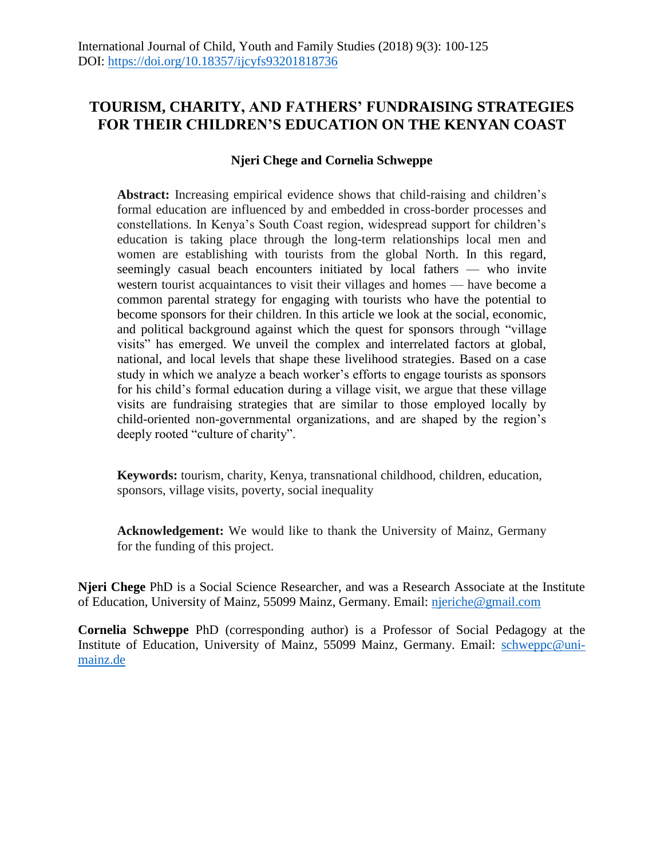# **TOURISM, CHARITY, AND FATHERS' FUNDRAISING STRATEGIES FOR THEIR CHILDREN'S EDUCATION ON THE KENYAN COAST**

# **Njeri Chege and Cornelia Schweppe**

**Abstract:** Increasing empirical evidence shows that child-raising and children's formal education are influenced by and embedded in cross-border processes and constellations. In Kenya's South Coast region, widespread support for children's education is taking place through the long-term relationships local men and women are establishing with tourists from the global North. In this regard, seemingly casual beach encounters initiated by local fathers — who invite western tourist acquaintances to visit their villages and homes — have become a common parental strategy for engaging with tourists who have the potential to become sponsors for their children. In this article we look at the social, economic, and political background against which the quest for sponsors through "village visits" has emerged. We unveil the complex and interrelated factors at global, national, and local levels that shape these livelihood strategies. Based on a case study in which we analyze a beach worker's efforts to engage tourists as sponsors for his child's formal education during a village visit, we argue that these village visits are fundraising strategies that are similar to those employed locally by child-oriented non-governmental organizations, and are shaped by the region's deeply rooted "culture of charity".

**Keywords:** tourism, charity, Kenya, transnational childhood, children, education, sponsors, village visits, poverty, social inequality

**Acknowledgement:** We would like to thank the University of Mainz, Germany for the funding of this project.

**Njeri Chege** PhD is a Social Science Researcher, and was a Research Associate at the Institute of Education, University of Mainz, 55099 Mainz, Germany. Email: [njeriche@gmail.com](mailto:njeriche@gmail.com)

**Cornelia Schweppe** PhD (corresponding author) is a Professor of Social Pedagogy at the Institute of Education, University of Mainz, 55099 Mainz, Germany. Email: [schweppc@uni](mailto:schweppc@uni-mainz.de)[mainz.de](mailto:schweppc@uni-mainz.de)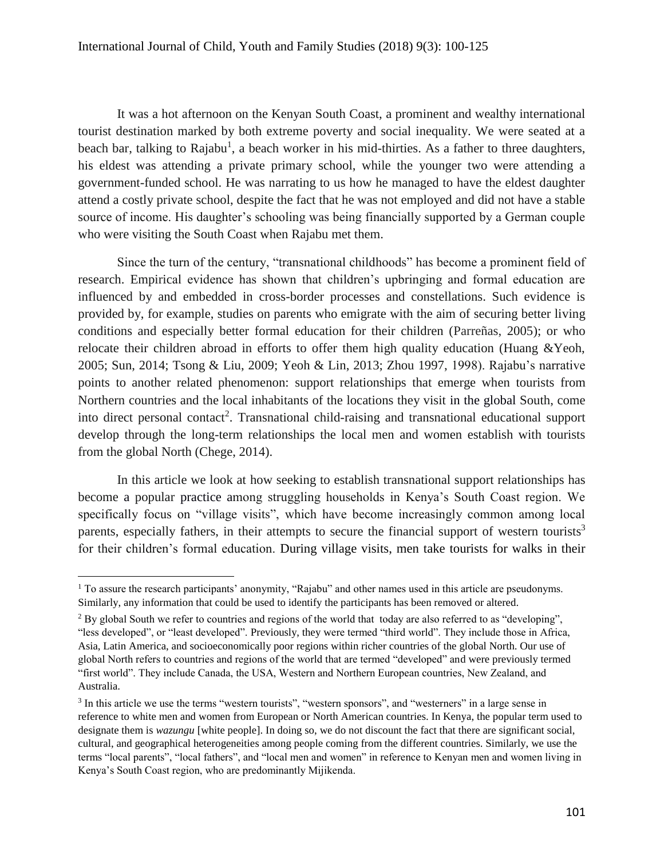It was a hot afternoon on the Kenyan South Coast, a prominent and wealthy international tourist destination marked by both extreme poverty and social inequality. We were seated at a beach bar, talking to Rajabu<sup>1</sup>, a beach worker in his mid-thirties. As a father to three daughters, his eldest was attending a private primary school, while the younger two were attending a government-funded school. He was narrating to us how he managed to have the eldest daughter attend a costly private school, despite the fact that he was not employed and did not have a stable source of income. His daughter's schooling was being financially supported by a German couple who were visiting the South Coast when Rajabu met them.

Since the turn of the century, "transnational childhoods" has become a prominent field of research. Empirical evidence has shown that children's upbringing and formal education are influenced by and embedded in cross-border processes and constellations. Such evidence is provided by, for example, studies on parents who emigrate with the aim of securing better living conditions and especially better formal education for their children (Parreñas, 2005); or who relocate their children abroad in efforts to offer them high quality education (Huang &Yeoh, 2005; Sun, 2014; Tsong & Liu, 2009; Yeoh & Lin, 2013; Zhou 1997, 1998). Rajabu's narrative points to another related phenomenon: support relationships that emerge when tourists from Northern countries and the local inhabitants of the locations they visit in the global South, come into direct personal contact<sup>2</sup>. Transnational child-raising and transnational educational support develop through the long-term relationships the local men and women establish with tourists from the global North (Chege, 2014).

In this article we look at how seeking to establish transnational support relationships has become a popular practice among struggling households in Kenya's South Coast region. We specifically focus on "village visits", which have become increasingly common among local parents, especially fathers, in their attempts to secure the financial support of western tourists<sup>3</sup> for their children's formal education. During village visits, men take tourists for walks in their

 $\overline{a}$ <sup>1</sup> To assure the research participants' anonymity, "Rajabu" and other names used in this article are pseudonyms. Similarly, any information that could be used to identify the participants has been removed or altered.

<sup>&</sup>lt;sup>2</sup> By global South we refer to countries and regions of the world that today are also referred to as "developing", "less developed", or "least developed". Previously, they were termed "third world". They include those in Africa, Asia, Latin America, and socioeconomically poor regions within richer countries of the global North. Our use of global North refers to countries and regions of the world that are termed "developed" and were previously termed "first world". They include Canada, the USA, Western and Northern European countries, New Zealand, and Australia.

<sup>&</sup>lt;sup>3</sup> In this article we use the terms "western tourists", "western sponsors", and "westerners" in a large sense in reference to white men and women from European or North American countries. In Kenya, the popular term used to designate them is *wazungu* [white people]. In doing so, we do not discount the fact that there are significant social, cultural, and geographical heterogeneities among people coming from the different countries. Similarly, we use the terms "local parents", "local fathers", and "local men and women" in reference to Kenyan men and women living in Kenya's South Coast region, who are predominantly Mijikenda.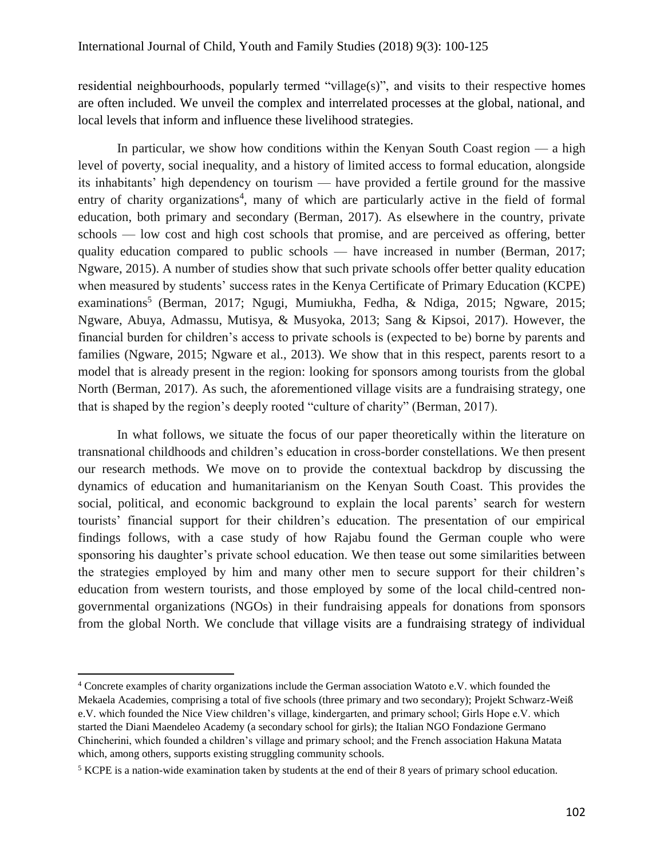residential neighbourhoods, popularly termed "village(s)", and visits to their respective homes are often included. We unveil the complex and interrelated processes at the global, national, and local levels that inform and influence these livelihood strategies.

In particular, we show how conditions within the Kenyan South Coast region — a high level of poverty, social inequality, and a history of limited access to formal education, alongside its inhabitants' high dependency on tourism — have provided a fertile ground for the massive entry of charity organizations<sup>4</sup>, many of which are particularly active in the field of formal education, both primary and secondary (Berman, 2017). As elsewhere in the country, private schools — low cost and high cost schools that promise, and are perceived as offering, better quality education compared to public schools — have increased in number (Berman, 2017; Ngware, 2015). A number of studies show that such private schools offer better quality education when measured by students' success rates in the Kenya Certificate of Primary Education (KCPE) examinations<sup>5</sup> (Berman, 2017; Ngugi, Mumiukha, Fedha, & Ndiga, 2015; Ngware, 2015; Ngware, Abuya, Admassu, Mutisya, & Musyoka, 2013; Sang & Kipsoi, 2017). However, the financial burden for children's access to private schools is (expected to be) borne by parents and families (Ngware, 2015; Ngware et al., 2013). We show that in this respect, parents resort to a model that is already present in the region: looking for sponsors among tourists from the global North (Berman, 2017). As such, the aforementioned village visits are a fundraising strategy, one that is shaped by the region's deeply rooted "culture of charity" (Berman, 2017).

In what follows, we situate the focus of our paper theoretically within the literature on transnational childhoods and children's education in cross-border constellations. We then present our research methods. We move on to provide the contextual backdrop by discussing the dynamics of education and humanitarianism on the Kenyan South Coast. This provides the social, political, and economic background to explain the local parents' search for western tourists' financial support for their children's education. The presentation of our empirical findings follows, with a case study of how Rajabu found the German couple who were sponsoring his daughter's private school education. We then tease out some similarities between the strategies employed by him and many other men to secure support for their children's education from western tourists, and those employed by some of the local child-centred nongovernmental organizations (NGOs) in their fundraising appeals for donations from sponsors from the global North. We conclude that village visits are a fundraising strategy of individual

<sup>4</sup> Concrete examples of charity organizations include the German association Watoto e.V. which founded the Mekaela Academies, comprising a total of five schools (three primary and two secondary); Projekt Schwarz-Weiß e.V. which founded the Nice View children's village, kindergarten, and primary school; Girls Hope e.V. which started the Diani Maendeleo Academy (a secondary school for girls); the Italian NGO Fondazione Germano Chincherini, which founded a children's village and primary school; and the French association Hakuna Matata which, among others, supports existing struggling community schools.

<sup>5</sup> KCPE is a nation-wide examination taken by students at the end of their 8 years of primary school education.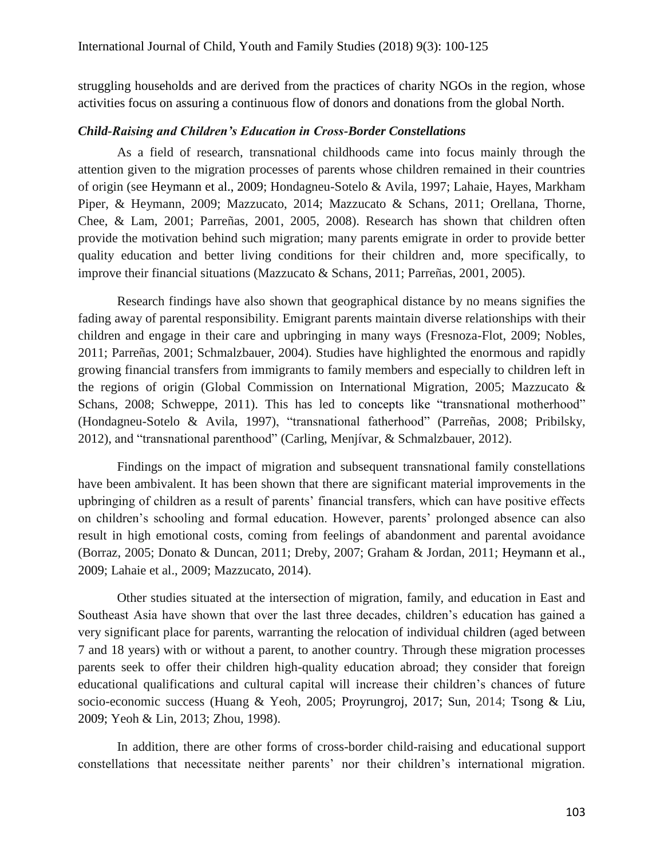struggling households and are derived from the practices of charity NGOs in the region, whose activities focus on assuring a continuous flow of donors and donations from the global North.

### *Child-Raising and Children's Education in Cross-Border Constellations*

As a field of research, transnational childhoods came into focus mainly through the attention given to the migration processes of parents whose children remained in their countries of origin (see Heymann et al., 2009; Hondagneu-Sotelo & Avila, 1997; Lahaie, Hayes, Markham Piper, & Heymann, 2009; Mazzucato, 2014; Mazzucato & Schans, 2011; Orellana, Thorne, Chee, & Lam, 2001; Parreñas, 2001, 2005, 2008). Research has shown that children often provide the motivation behind such migration; many parents emigrate in order to provide better quality education and better living conditions for their children and, more specifically, to improve their financial situations (Mazzucato & Schans, 2011; Parreñas, 2001, 2005).

Research findings have also shown that geographical distance by no means signifies the fading away of parental responsibility. Emigrant parents maintain diverse relationships with their children and engage in their care and upbringing in many ways (Fresnoza-Flot, 2009; Nobles, 2011; Parreñas, 2001; Schmalzbauer, 2004). Studies have highlighted the enormous and rapidly growing financial transfers from immigrants to family members and especially to children left in the regions of origin (Global Commission on International Migration, 2005; Mazzucato & Schans, 2008; Schweppe, 2011). This has led to concepts like "transnational motherhood" (Hondagneu-Sotelo & Avila, 1997), "transnational fatherhood" (Parreñas, 2008; Pribilsky, 2012), and "transnational parenthood" (Carling, Menjívar, & Schmalzbauer, 2012).

Findings on the impact of migration and subsequent transnational family constellations have been ambivalent. It has been shown that there are significant material improvements in the upbringing of children as a result of parents' financial transfers, which can have positive effects on children's schooling and formal education. However, parents' prolonged absence can also result in high emotional costs, coming from feelings of abandonment and parental avoidance (Borraz, 2005; Donato & Duncan, 2011; Dreby, 2007; Graham & Jordan, 2011; Heymann et al., 2009; Lahaie et al., 2009; Mazzucato, 2014).

Other studies situated at the intersection of migration, family, and education in East and Southeast Asia have shown that over the last three decades, children's education has gained a very significant place for parents, warranting the relocation of individual children (aged between 7 and 18 years) with or without a parent, to another country. Through these migration processes parents seek to offer their children high-quality education abroad; they consider that foreign educational qualifications and cultural capital will increase their children's chances of future socio-economic success (Huang & Yeoh, 2005; Proyrungroj, 2017; Sun, 2014; Tsong & Liu, 2009; Yeoh & Lin, 2013; Zhou, 1998).

In addition, there are other forms of cross-border child-raising and educational support constellations that necessitate neither parents' nor their children's international migration.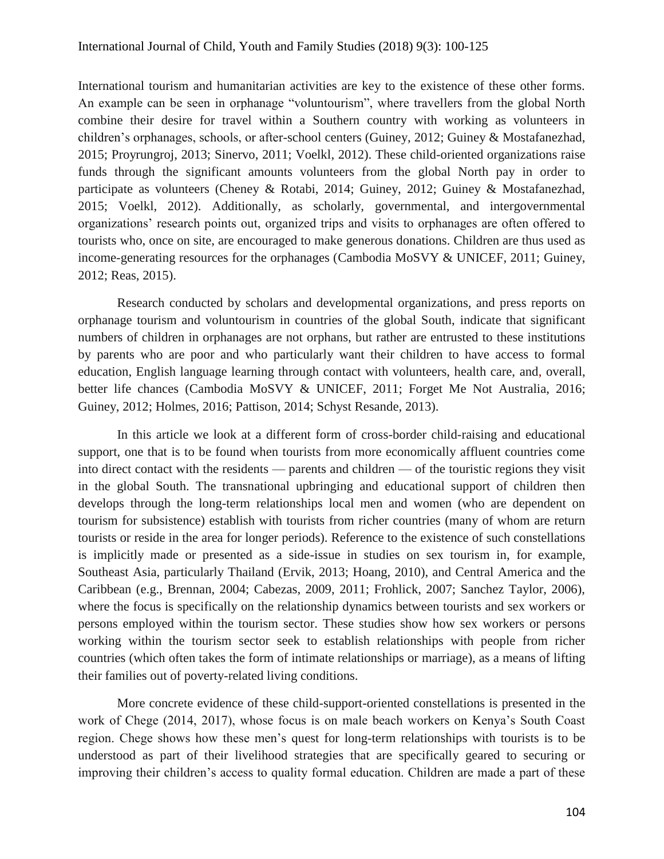International tourism and humanitarian activities are key to the existence of these other forms. An example can be seen in orphanage "voluntourism", where travellers from the global North combine their desire for travel within a Southern country with working as volunteers in children's orphanages, schools, or after-school centers (Guiney, 2012; Guiney & Mostafanezhad, 2015; Proyrungroj, 2013; Sinervo, 2011; Voelkl, 2012). These child-oriented organizations raise funds through the significant amounts volunteers from the global North pay in order to participate as volunteers (Cheney & Rotabi, 2014; Guiney, 2012; Guiney & Mostafanezhad, 2015; Voelkl, 2012). Additionally, as scholarly, governmental, and intergovernmental organizations' research points out, organized trips and visits to orphanages are often offered to tourists who, once on site, are encouraged to make generous donations. Children are thus used as income-generating resources for the orphanages (Cambodia MoSVY & UNICEF, 2011; Guiney, 2012; Reas, 2015).

Research conducted by scholars and developmental organizations, and press reports on orphanage tourism and voluntourism in countries of the global South, indicate that significant numbers of children in orphanages are not orphans, but rather are entrusted to these institutions by parents who are poor and who particularly want their children to have access to formal education, English language learning through contact with volunteers, health care, and, overall, better life chances (Cambodia MoSVY & UNICEF, 2011; Forget Me Not Australia, 2016; Guiney, 2012; Holmes, 2016; Pattison, 2014; Schyst Resande, 2013).

In this article we look at a different form of cross-border child-raising and educational support, one that is to be found when tourists from more economically affluent countries come into direct contact with the residents — parents and children — of the touristic regions they visit in the global South. The transnational upbringing and educational support of children then develops through the long-term relationships local men and women (who are dependent on tourism for subsistence) establish with tourists from richer countries (many of whom are return tourists or reside in the area for longer periods). Reference to the existence of such constellations is implicitly made or presented as a side-issue in studies on sex tourism in, for example, Southeast Asia, particularly Thailand (Ervik, 2013; Hoang, 2010), and Central America and the Caribbean (e.g., Brennan, 2004; Cabezas, 2009, 2011; Frohlick, 2007; Sanchez Taylor, 2006), where the focus is specifically on the relationship dynamics between tourists and sex workers or persons employed within the tourism sector. These studies show how sex workers or persons working within the tourism sector seek to establish relationships with people from richer countries (which often takes the form of intimate relationships or marriage), as a means of lifting their families out of poverty-related living conditions.

More concrete evidence of these child-support-oriented constellations is presented in the work of Chege (2014, 2017), whose focus is on male beach workers on Kenya's South Coast region. Chege shows how these men's quest for long-term relationships with tourists is to be understood as part of their livelihood strategies that are specifically geared to securing or improving their children's access to quality formal education. Children are made a part of these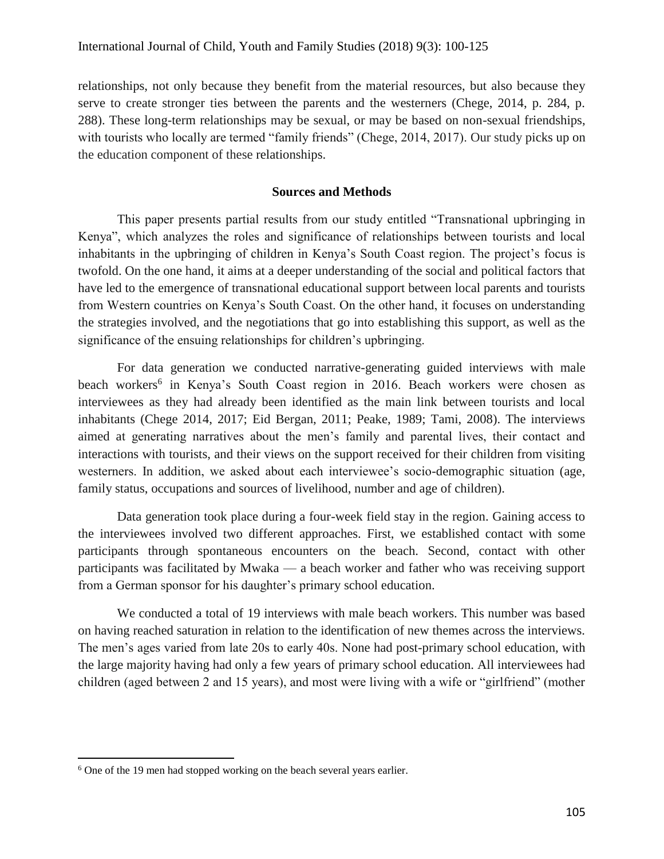relationships, not only because they benefit from the material resources, but also because they serve to create stronger ties between the parents and the westerners (Chege, 2014, p. 284, p. 288). These long-term relationships may be sexual, or may be based on non-sexual friendships, with tourists who locally are termed "family friends" (Chege, 2014, 2017). Our study picks up on the education component of these relationships.

### **Sources and Methods**

This paper presents partial results from our study entitled "Transnational upbringing in Kenya", which analyzes the roles and significance of relationships between tourists and local inhabitants in the upbringing of children in Kenya's South Coast region. The project's focus is twofold. On the one hand, it aims at a deeper understanding of the social and political factors that have led to the emergence of transnational educational support between local parents and tourists from Western countries on Kenya's South Coast. On the other hand, it focuses on understanding the strategies involved, and the negotiations that go into establishing this support, as well as the significance of the ensuing relationships for children's upbringing.

For data generation we conducted narrative-generating guided interviews with male beach workers<sup>6</sup> in Kenya's South Coast region in 2016. Beach workers were chosen as interviewees as they had already been identified as the main link between tourists and local inhabitants (Chege 2014, 2017; Eid Bergan, 2011; Peake, 1989; Tami, 2008). The interviews aimed at generating narratives about the men's family and parental lives, their contact and interactions with tourists, and their views on the support received for their children from visiting westerners. In addition, we asked about each interviewee's socio-demographic situation (age, family status, occupations and sources of livelihood, number and age of children).

Data generation took place during a four-week field stay in the region. Gaining access to the interviewees involved two different approaches. First, we established contact with some participants through spontaneous encounters on the beach. Second, contact with other participants was facilitated by Mwaka — a beach worker and father who was receiving support from a German sponsor for his daughter's primary school education.

We conducted a total of 19 interviews with male beach workers. This number was based on having reached saturation in relation to the identification of new themes across the interviews. The men's ages varied from late 20s to early 40s. None had post-primary school education, with the large majority having had only a few years of primary school education. All interviewees had children (aged between 2 and 15 years), and most were living with a wife or "girlfriend" (mother

<sup>&</sup>lt;sup>6</sup> One of the 19 men had stopped working on the beach several years earlier.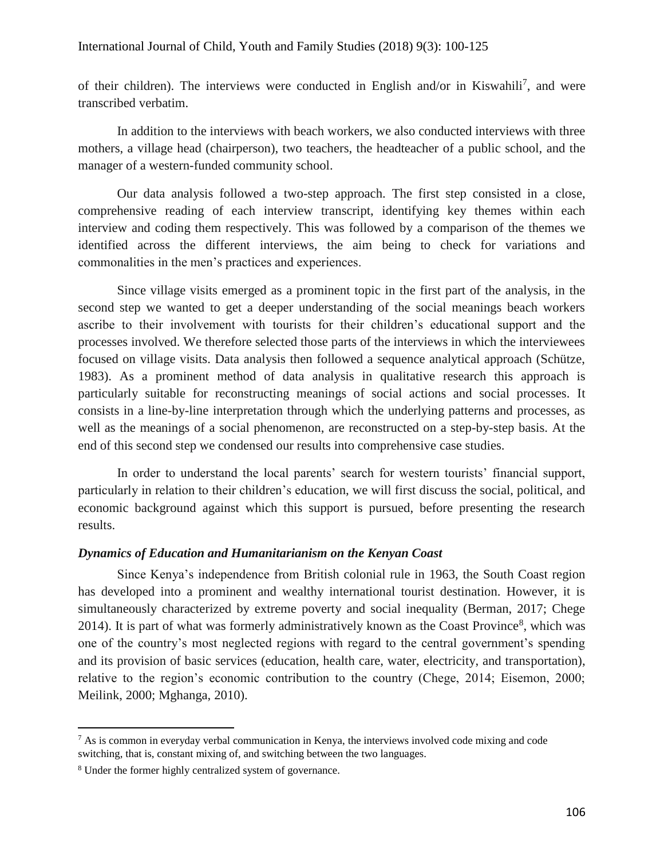of their children). The interviews were conducted in English and/or in Kiswahili<sup>7</sup>, and were transcribed verbatim.

In addition to the interviews with beach workers, we also conducted interviews with three mothers, a village head (chairperson), two teachers, the headteacher of a public school, and the manager of a western-funded community school.

Our data analysis followed a two-step approach. The first step consisted in a close, comprehensive reading of each interview transcript, identifying key themes within each interview and coding them respectively. This was followed by a comparison of the themes we identified across the different interviews, the aim being to check for variations and commonalities in the men's practices and experiences.

Since village visits emerged as a prominent topic in the first part of the analysis, in the second step we wanted to get a deeper understanding of the social meanings beach workers ascribe to their involvement with tourists for their children's educational support and the processes involved. We therefore selected those parts of the interviews in which the interviewees focused on village visits. Data analysis then followed a sequence analytical approach (Schütze, 1983). As a prominent method of data analysis in qualitative research this approach is particularly suitable for reconstructing meanings of social actions and social processes. It consists in a line-by-line interpretation through which the underlying patterns and processes, as well as the meanings of a social phenomenon, are reconstructed on a step-by-step basis. At the end of this second step we condensed our results into comprehensive case studies.

In order to understand the local parents' search for western tourists' financial support, particularly in relation to their children's education, we will first discuss the social, political, and economic background against which this support is pursued, before presenting the research results.

#### *Dynamics of Education and Humanitarianism on the Kenyan Coast*

Since Kenya's independence from British colonial rule in 1963, the South Coast region has developed into a prominent and wealthy international tourist destination. However, it is simultaneously characterized by extreme poverty and social inequality (Berman, 2017; Chege 2014). It is part of what was formerly administratively known as the Coast Province<sup>8</sup>, which was one of the country's most neglected regions with regard to the central government's spending and its provision of basic services (education, health care, water, electricity, and transportation), relative to the region's economic contribution to the country (Chege, 2014; Eisemon, 2000; Meilink, 2000; Mghanga, 2010).

 $<sup>7</sup>$  As is common in everyday verbal communication in Kenya, the interviews involved code mixing and code</sup> switching, that is, constant mixing of, and switching between the two languages.

<sup>8</sup> Under the former highly centralized system of governance.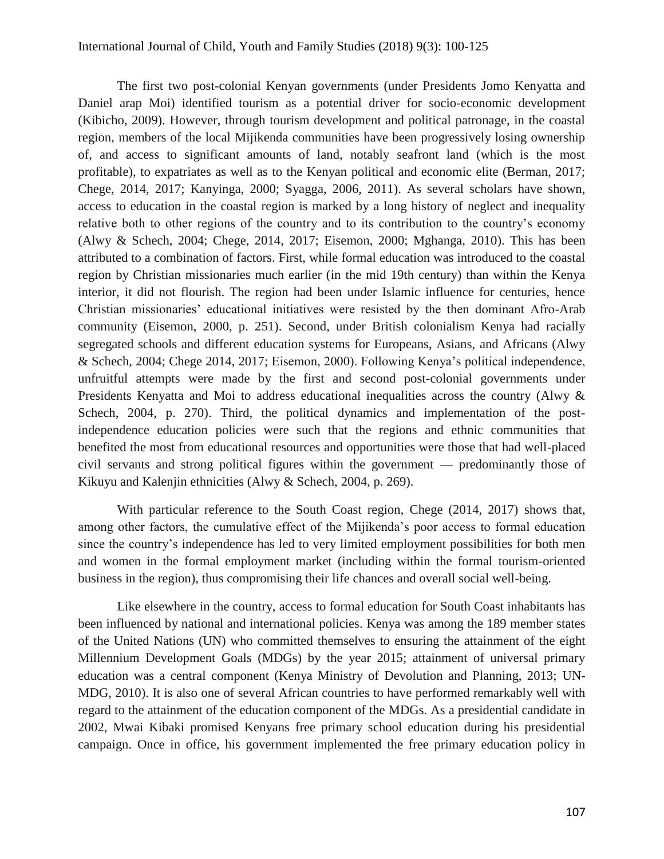The first two post-colonial Kenyan governments (under Presidents Jomo Kenyatta and Daniel arap Moi) identified tourism as a potential driver for socio-economic development (Kibicho, 2009). However, through tourism development and political patronage, in the coastal region, members of the local Mijikenda communities have been progressively losing ownership of, and access to significant amounts of land, notably seafront land (which is the most profitable), to expatriates as well as to the Kenyan political and economic elite (Berman, 2017; Chege, 2014, 2017; Kanyinga, 2000; Syagga, 2006, 2011). As several scholars have shown, access to education in the coastal region is marked by a long history of neglect and inequality relative both to other regions of the country and to its contribution to the country's economy (Alwy & Schech, 2004; Chege, 2014, 2017; Eisemon, 2000; Mghanga, 2010). This has been attributed to a combination of factors. First, while formal education was introduced to the coastal region by Christian missionaries much earlier (in the mid 19th century) than within the Kenya interior, it did not flourish. The region had been under Islamic influence for centuries, hence Christian missionaries' educational initiatives were resisted by the then dominant Afro-Arab community (Eisemon, 2000, p. 251). Second, under British colonialism Kenya had racially segregated schools and different education systems for Europeans, Asians, and Africans (Alwy & Schech, 2004; Chege 2014, 2017; Eisemon, 2000). Following Kenya's political independence, unfruitful attempts were made by the first and second post-colonial governments under Presidents Kenyatta and Moi to address educational inequalities across the country (Alwy & Schech, 2004, p. 270). Third, the political dynamics and implementation of the postindependence education policies were such that the regions and ethnic communities that benefited the most from educational resources and opportunities were those that had well-placed civil servants and strong political figures within the government — predominantly those of Kikuyu and Kalenjin ethnicities (Alwy & Schech, 2004, p. 269).

With particular reference to the South Coast region, Chege (2014, 2017) shows that, among other factors, the cumulative effect of the Mijikenda's poor access to formal education since the country's independence has led to very limited employment possibilities for both men and women in the formal employment market (including within the formal tourism-oriented business in the region), thus compromising their life chances and overall social well-being.

Like elsewhere in the country, access to formal education for South Coast inhabitants has been influenced by national and international policies. Kenya was among the 189 member states of the United Nations (UN) who committed themselves to ensuring the attainment of the eight Millennium Development Goals (MDGs) by the year 2015; attainment of universal primary education was a central component (Kenya Ministry of Devolution and Planning, 2013; UN-MDG, 2010). It is also one of several African countries to have performed remarkably well with regard to the attainment of the education component of the MDGs. As a presidential candidate in 2002, Mwai Kibaki promised Kenyans free primary school education during his presidential campaign. Once in office, his government implemented the free primary education policy in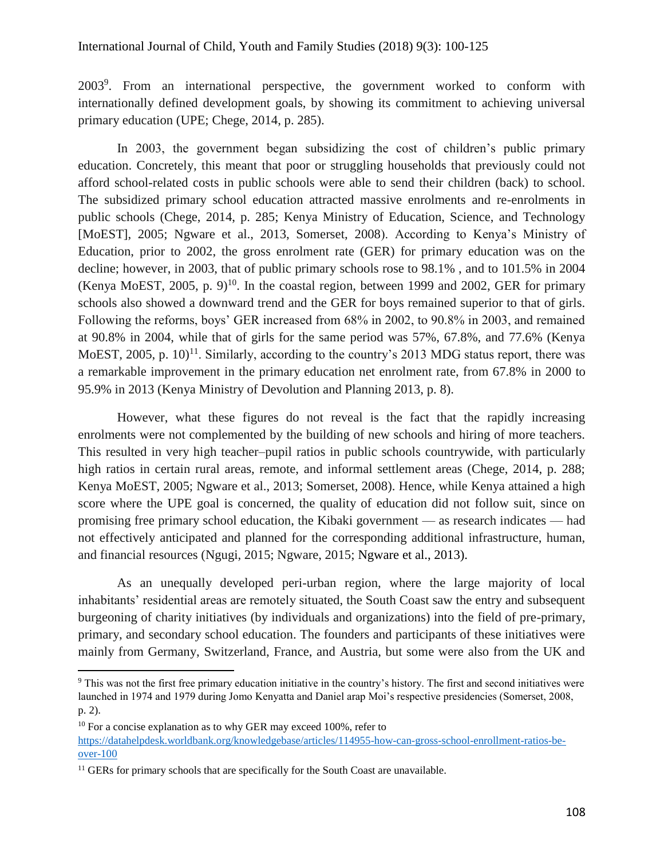2003<sup>9</sup>. From an international perspective, the government worked to conform with internationally defined development goals, by showing its commitment to achieving universal primary education (UPE; Chege, 2014, p. 285).

In 2003, the government began subsidizing the cost of children's public primary education. Concretely, this meant that poor or struggling households that previously could not afford school-related costs in public schools were able to send their children (back) to school. The subsidized primary school education attracted massive enrolments and re-enrolments in public schools (Chege, 2014, p. 285; Kenya Ministry of Education, Science, and Technology [MoEST], 2005; Ngware et al., 2013, Somerset, 2008). According to Kenya's Ministry of Education, prior to 2002, the gross enrolment rate (GER) for primary education was on the decline; however, in 2003, that of public primary schools rose to 98.1% , and to 101.5% in 2004 (Kenya MoEST, 2005, p. 9)<sup>10</sup>. In the coastal region, between 1999 and 2002, GER for primary schools also showed a downward trend and the GER for boys remained superior to that of girls. Following the reforms, boys' GER increased from 68% in 2002, to 90.8% in 2003, and remained at 90.8% in 2004, while that of girls for the same period was 57%, 67.8%, and 77.6% (Kenya MoEST, 2005, p.  $10$ <sup>11</sup>. Similarly, according to the country's 2013 MDG status report, there was a remarkable improvement in the primary education net enrolment rate, from 67.8% in 2000 to 95.9% in 2013 (Kenya Ministry of Devolution and Planning 2013, p. 8).

However, what these figures do not reveal is the fact that the rapidly increasing enrolments were not complemented by the building of new schools and hiring of more teachers. This resulted in very high teacher–pupil ratios in public schools countrywide, with particularly high ratios in certain rural areas, remote, and informal settlement areas (Chege, 2014, p. 288; Kenya MoEST, 2005; Ngware et al., 2013; Somerset, 2008). Hence, while Kenya attained a high score where the UPE goal is concerned, the quality of education did not follow suit, since on promising free primary school education, the Kibaki government — as research indicates — had not effectively anticipated and planned for the corresponding additional infrastructure, human, and financial resources (Ngugi, 2015; Ngware, 2015; Ngware et al., 2013).

As an unequally developed peri-urban region, where the large majority of local inhabitants' residential areas are remotely situated, the South Coast saw the entry and subsequent burgeoning of charity initiatives (by individuals and organizations) into the field of pre-primary, primary, and secondary school education. The founders and participants of these initiatives were mainly from Germany, Switzerland, France, and Austria, but some were also from the UK and

<sup>9</sup> This was not the first free primary education initiative in the country's history. The first and second initiatives were launched in 1974 and 1979 during Jomo Kenyatta and Daniel arap Moi's respective presidencies (Somerset, 2008, p. 2).

 $10$  For a concise explanation as to why GER may exceed 100%, refer to

[https://datahelpdesk.worldbank.org/knowledgebase/articles/114955-how-can-gross-school-enrollment-ratios-be](https://datahelpdesk.worldbank.org/knowledgebase/articles/114955-how-can-gross-school-enrollment-ratios-be-over-100)[over-100](https://datahelpdesk.worldbank.org/knowledgebase/articles/114955-how-can-gross-school-enrollment-ratios-be-over-100)

<sup>&</sup>lt;sup>11</sup> GERs for primary schools that are specifically for the South Coast are unavailable.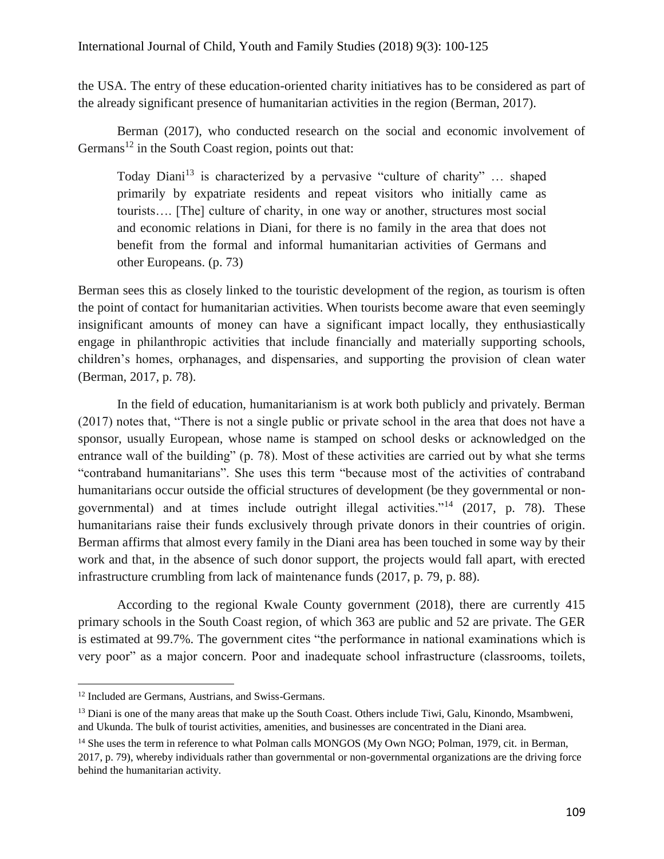the USA. The entry of these education-oriented charity initiatives has to be considered as part of the already significant presence of humanitarian activities in the region (Berman, 2017).

Berman (2017), who conducted research on the social and economic involvement of Germans<sup>12</sup> in the South Coast region, points out that:

Today Diani<sup>13</sup> is characterized by a pervasive "culture of charity" ... shaped primarily by expatriate residents and repeat visitors who initially came as tourists…. [The] culture of charity, in one way or another, structures most social and economic relations in Diani, for there is no family in the area that does not benefit from the formal and informal humanitarian activities of Germans and other Europeans. (p. 73)

Berman sees this as closely linked to the touristic development of the region, as tourism is often the point of contact for humanitarian activities. When tourists become aware that even seemingly insignificant amounts of money can have a significant impact locally, they enthusiastically engage in philanthropic activities that include financially and materially supporting schools, children's homes, orphanages, and dispensaries, and supporting the provision of clean water (Berman, 2017, p. 78).

In the field of education, humanitarianism is at work both publicly and privately. Berman (2017) notes that, "There is not a single public or private school in the area that does not have a sponsor, usually European, whose name is stamped on school desks or acknowledged on the entrance wall of the building" (p. 78). Most of these activities are carried out by what she terms "contraband humanitarians". She uses this term "because most of the activities of contraband humanitarians occur outside the official structures of development (be they governmental or nongovernmental) and at times include outright illegal activities."<sup>14</sup> (2017, p. 78). These humanitarians raise their funds exclusively through private donors in their countries of origin. Berman affirms that almost every family in the Diani area has been touched in some way by their work and that, in the absence of such donor support, the projects would fall apart, with erected infrastructure crumbling from lack of maintenance funds (2017, p. 79, p. 88).

According to the regional Kwale County government (2018), there are currently 415 primary schools in the South Coast region, of which 363 are public and 52 are private. The GER is estimated at 99.7%. The government cites "the performance in national examinations which is very poor" as a major concern. Poor and inadequate school infrastructure (classrooms, toilets,

<sup>12</sup> Included are Germans, Austrians, and Swiss-Germans.

<sup>&</sup>lt;sup>13</sup> Diani is one of the many areas that make up the South Coast. Others include Tiwi, Galu, Kinondo, Msambweni, and Ukunda. The bulk of tourist activities, amenities, and businesses are concentrated in the Diani area.

<sup>&</sup>lt;sup>14</sup> She uses the term in reference to what Polman calls MONGOS (My Own NGO; Polman, 1979, cit. in Berman, 2017, p. 79), whereby individuals rather than governmental or non-governmental organizations are the driving force behind the humanitarian activity.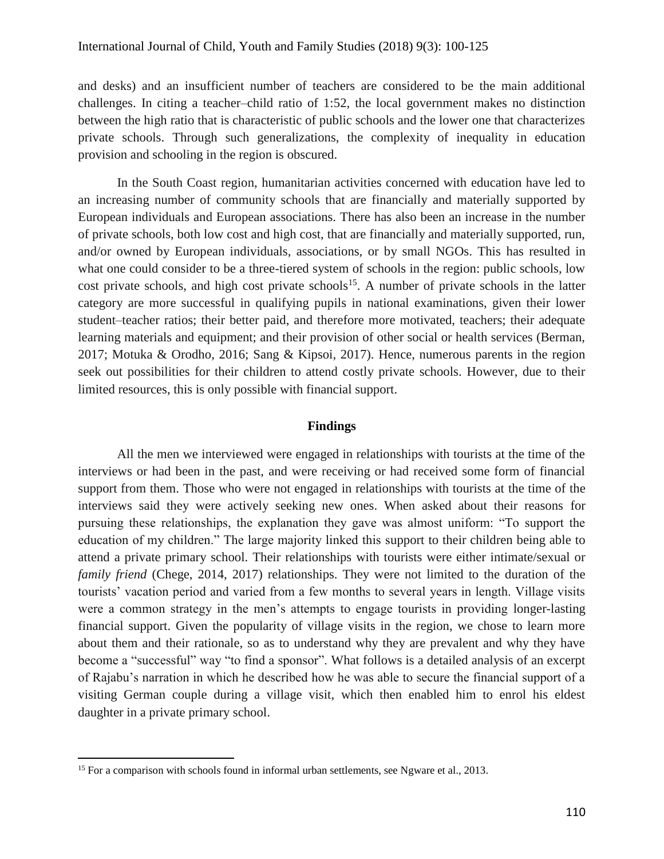and desks) and an insufficient number of teachers are considered to be the main additional challenges. In citing a teacher–child ratio of 1:52, the local government makes no distinction between the high ratio that is characteristic of public schools and the lower one that characterizes private schools. Through such generalizations, the complexity of inequality in education provision and schooling in the region is obscured.

In the South Coast region, humanitarian activities concerned with education have led to an increasing number of community schools that are financially and materially supported by European individuals and European associations. There has also been an increase in the number of private schools, both low cost and high cost, that are financially and materially supported, run, and/or owned by European individuals, associations, or by small NGOs. This has resulted in what one could consider to be a three-tiered system of schools in the region: public schools, low cost private schools, and high cost private schools<sup>15</sup>. A number of private schools in the latter category are more successful in qualifying pupils in national examinations, given their lower student–teacher ratios; their better paid, and therefore more motivated, teachers; their adequate learning materials and equipment; and their provision of other social or health services (Berman, 2017; Motuka & Orodho, 2016; Sang & Kipsoi, 2017). Hence, numerous parents in the region seek out possibilities for their children to attend costly private schools. However, due to their limited resources, this is only possible with financial support.

# **Findings**

All the men we interviewed were engaged in relationships with tourists at the time of the interviews or had been in the past, and were receiving or had received some form of financial support from them. Those who were not engaged in relationships with tourists at the time of the interviews said they were actively seeking new ones. When asked about their reasons for pursuing these relationships, the explanation they gave was almost uniform: "To support the education of my children." The large majority linked this support to their children being able to attend a private primary school. Their relationships with tourists were either intimate/sexual or *family friend* (Chege, 2014, 2017) relationships. They were not limited to the duration of the tourists' vacation period and varied from a few months to several years in length. Village visits were a common strategy in the men's attempts to engage tourists in providing longer-lasting financial support. Given the popularity of village visits in the region, we chose to learn more about them and their rationale, so as to understand why they are prevalent and why they have become a "successful" way "to find a sponsor". What follows is a detailed analysis of an excerpt of Rajabu's narration in which he described how he was able to secure the financial support of a visiting German couple during a village visit, which then enabled him to enrol his eldest daughter in a private primary school.

<sup>&</sup>lt;sup>15</sup> For a comparison with schools found in informal urban settlements, see Ngware et al., 2013.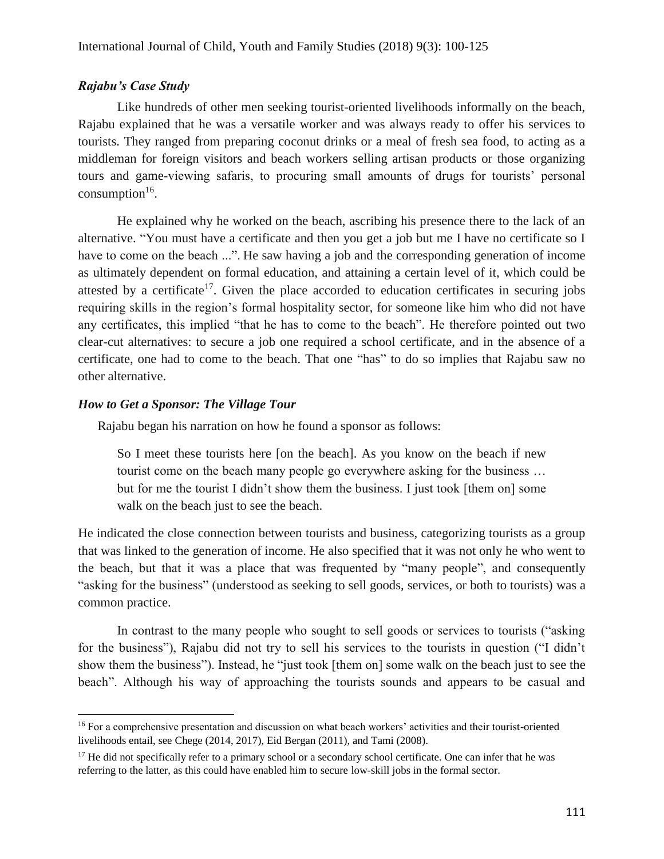# *Rajabu's Case Study*

Like hundreds of other men seeking tourist-oriented livelihoods informally on the beach, Rajabu explained that he was a versatile worker and was always ready to offer his services to tourists. They ranged from preparing coconut drinks or a meal of fresh sea food, to acting as a middleman for foreign visitors and beach workers selling artisan products or those organizing tours and game-viewing safaris, to procuring small amounts of drugs for tourists' personal  $consumption<sup>16</sup>$ .

He explained why he worked on the beach, ascribing his presence there to the lack of an alternative. "You must have a certificate and then you get a job but me I have no certificate so I have to come on the beach ...". He saw having a job and the corresponding generation of income as ultimately dependent on formal education, and attaining a certain level of it, which could be attested by a certificate<sup>17</sup>. Given the place accorded to education certificates in securing jobs requiring skills in the region's formal hospitality sector, for someone like him who did not have any certificates, this implied "that he has to come to the beach". He therefore pointed out two clear-cut alternatives: to secure a job one required a school certificate, and in the absence of a certificate, one had to come to the beach. That one "has" to do so implies that Rajabu saw no other alternative.

# *How to Get a Sponsor: The Village Tour*

Rajabu began his narration on how he found a sponsor as follows:

So I meet these tourists here [on the beach]. As you know on the beach if new tourist come on the beach many people go everywhere asking for the business … but for me the tourist I didn't show them the business. I just took [them on] some walk on the beach just to see the beach.

He indicated the close connection between tourists and business, categorizing tourists as a group that was linked to the generation of income. He also specified that it was not only he who went to the beach, but that it was a place that was frequented by "many people", and consequently "asking for the business" (understood as seeking to sell goods, services, or both to tourists) was a common practice.

In contrast to the many people who sought to sell goods or services to tourists ("asking for the business"), Rajabu did not try to sell his services to the tourists in question ("I didn't show them the business"). Instead, he "just took [them on] some walk on the beach just to see the beach". Although his way of approaching the tourists sounds and appears to be casual and

 $\overline{a}$ <sup>16</sup> For a comprehensive presentation and discussion on what beach workers' activities and their tourist-oriented livelihoods entail, see Chege (2014, 2017), Eid Bergan (2011), and Tami (2008).

<sup>&</sup>lt;sup>17</sup> He did not specifically refer to a primary school or a secondary school certificate. One can infer that he was referring to the latter, as this could have enabled him to secure low-skill jobs in the formal sector.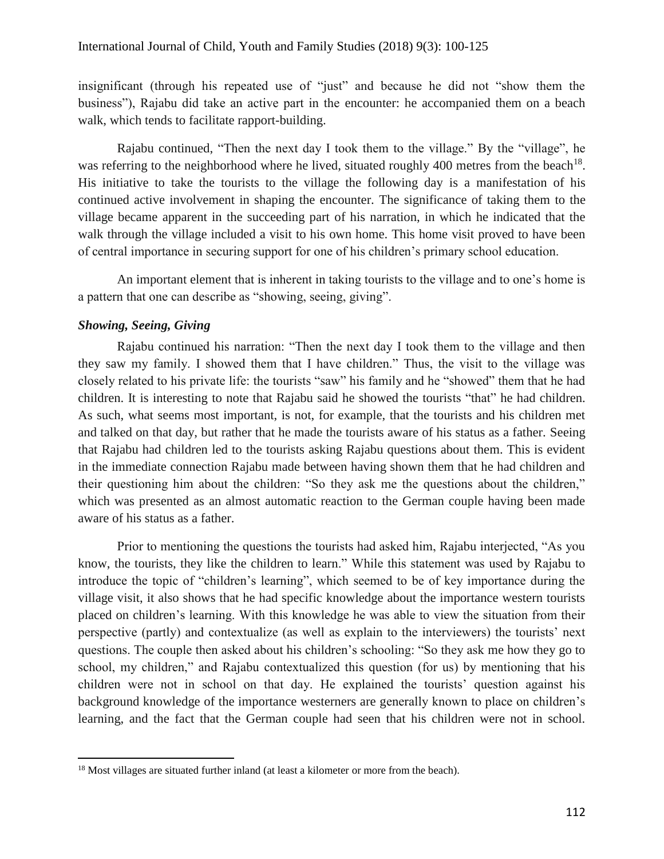insignificant (through his repeated use of "just" and because he did not "show them the business"), Rajabu did take an active part in the encounter: he accompanied them on a beach walk, which tends to facilitate rapport-building.

Rajabu continued, "Then the next day I took them to the village." By the "village", he was referring to the neighborhood where he lived, situated roughly 400 metres from the beach<sup>18</sup>. His initiative to take the tourists to the village the following day is a manifestation of his continued active involvement in shaping the encounter. The significance of taking them to the village became apparent in the succeeding part of his narration, in which he indicated that the walk through the village included a visit to his own home. This home visit proved to have been of central importance in securing support for one of his children's primary school education.

An important element that is inherent in taking tourists to the village and to one's home is a pattern that one can describe as "showing, seeing, giving".

# *Showing, Seeing, Giving*

 $\overline{a}$ 

Rajabu continued his narration: "Then the next day I took them to the village and then they saw my family. I showed them that I have children." Thus, the visit to the village was closely related to his private life: the tourists "saw" his family and he "showed" them that he had children. It is interesting to note that Rajabu said he showed the tourists "that" he had children. As such, what seems most important, is not, for example, that the tourists and his children met and talked on that day, but rather that he made the tourists aware of his status as a father. Seeing that Rajabu had children led to the tourists asking Rajabu questions about them. This is evident in the immediate connection Rajabu made between having shown them that he had children and their questioning him about the children: "So they ask me the questions about the children," which was presented as an almost automatic reaction to the German couple having been made aware of his status as a father.

Prior to mentioning the questions the tourists had asked him, Rajabu interjected, "As you know, the tourists, they like the children to learn." While this statement was used by Rajabu to introduce the topic of "children's learning", which seemed to be of key importance during the village visit, it also shows that he had specific knowledge about the importance western tourists placed on children's learning. With this knowledge he was able to view the situation from their perspective (partly) and contextualize (as well as explain to the interviewers) the tourists' next questions. The couple then asked about his children's schooling: "So they ask me how they go to school, my children," and Rajabu contextualized this question (for us) by mentioning that his children were not in school on that day. He explained the tourists' question against his background knowledge of the importance westerners are generally known to place on children's learning, and the fact that the German couple had seen that his children were not in school.

<sup>&</sup>lt;sup>18</sup> Most villages are situated further inland (at least a kilometer or more from the beach).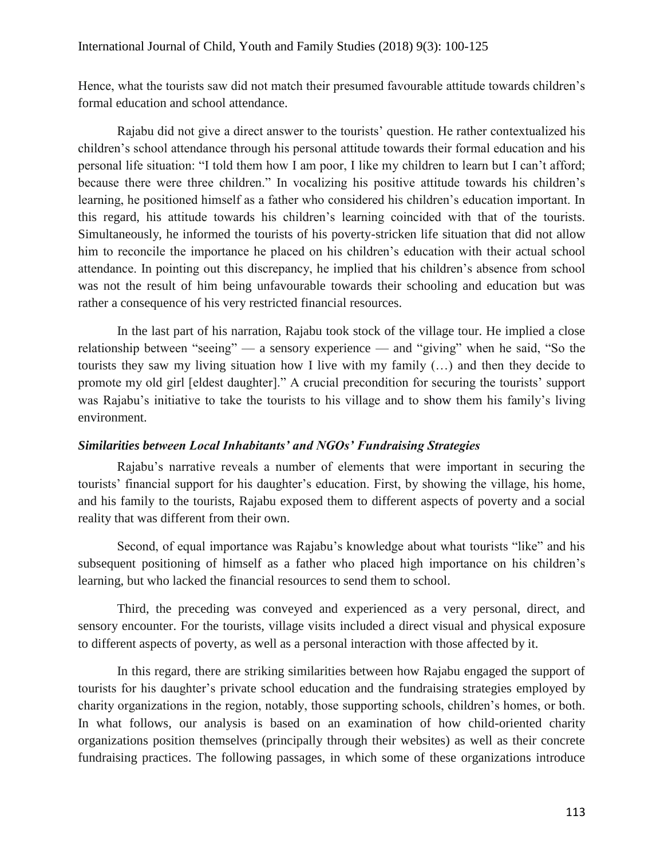Hence, what the tourists saw did not match their presumed favourable attitude towards children's formal education and school attendance.

Rajabu did not give a direct answer to the tourists' question. He rather contextualized his children's school attendance through his personal attitude towards their formal education and his personal life situation: "I told them how I am poor, I like my children to learn but I can't afford; because there were three children." In vocalizing his positive attitude towards his children's learning, he positioned himself as a father who considered his children's education important. In this regard, his attitude towards his children's learning coincided with that of the tourists. Simultaneously, he informed the tourists of his poverty-stricken life situation that did not allow him to reconcile the importance he placed on his children's education with their actual school attendance. In pointing out this discrepancy, he implied that his children's absence from school was not the result of him being unfavourable towards their schooling and education but was rather a consequence of his very restricted financial resources.

In the last part of his narration, Rajabu took stock of the village tour. He implied a close relationship between "seeing" — a sensory experience — and "giving" when he said, "So the tourists they saw my living situation how I live with my family (…) and then they decide to promote my old girl [eldest daughter]." A crucial precondition for securing the tourists' support was Rajabu's initiative to take the tourists to his village and to show them his family's living environment.

# *Similarities between Local Inhabitants' and NGOs' Fundraising Strategies*

Rajabu's narrative reveals a number of elements that were important in securing the tourists' financial support for his daughter's education. First, by showing the village, his home, and his family to the tourists, Rajabu exposed them to different aspects of poverty and a social reality that was different from their own.

Second, of equal importance was Rajabu's knowledge about what tourists "like" and his subsequent positioning of himself as a father who placed high importance on his children's learning, but who lacked the financial resources to send them to school.

Third, the preceding was conveyed and experienced as a very personal, direct, and sensory encounter. For the tourists, village visits included a direct visual and physical exposure to different aspects of poverty, as well as a personal interaction with those affected by it.

In this regard, there are striking similarities between how Rajabu engaged the support of tourists for his daughter's private school education and the fundraising strategies employed by charity organizations in the region, notably, those supporting schools, children's homes, or both. In what follows, our analysis is based on an examination of how child-oriented charity organizations position themselves (principally through their websites) as well as their concrete fundraising practices. The following passages, in which some of these organizations introduce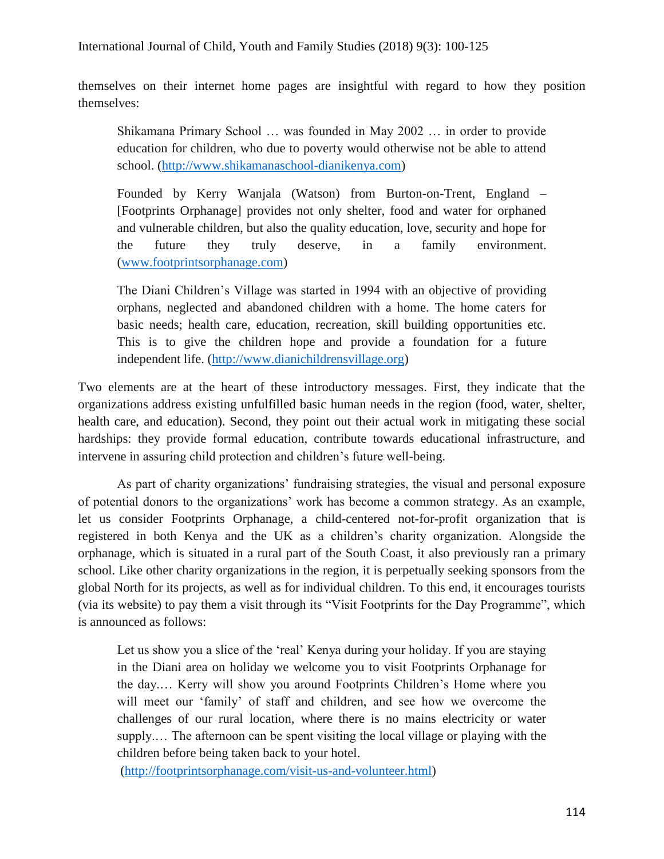themselves on their internet home pages are insightful with regard to how they position themselves:

Shikamana Primary School … was founded in May 2002 … in order to provide education for children, who due to poverty would otherwise not be able to attend school. (http://www.shikamanaschool-dianikenya.com)

Founded by Kerry Wanjala (Watson) from Burton-on-Trent, England – [Footprints Orphanage] provides not only shelter, food and water for orphaned and vulnerable children, but also the quality education, love, security and hope for the future they truly deserve, in a family environment. [\(www.footprintsorphanage.com\)](http://www.footprintsorphanage.com/)

The Diani Children's Village was started in 1994 with an objective of providing orphans, neglected and abandoned children with a home. The home caters for basic needs; health care, education, recreation, skill building opportunities etc. This is to give the children hope and provide a foundation for a future independent life. [\(http://www.dianichildrensvillage.org\)](http://www.dianichildrensvillage.org/)

Two elements are at the heart of these introductory messages. First, they indicate that the organizations address existing unfulfilled basic human needs in the region (food, water, shelter, health care, and education). Second, they point out their actual work in mitigating these social hardships: they provide formal education, contribute towards educational infrastructure, and intervene in assuring child protection and children's future well-being.

As part of charity organizations' fundraising strategies, the visual and personal exposure of potential donors to the organizations' work has become a common strategy. As an example, let us consider Footprints Orphanage, a child-centered not-for-profit organization that is registered in both Kenya and the UK as a children's charity organization. Alongside the orphanage, which is situated in a rural part of the South Coast, it also previously ran a primary school. Like other charity organizations in the region, it is perpetually seeking sponsors from the global North for its projects, as well as for individual children. To this end, it encourages tourists (via its website) to pay them a visit through its "Visit Footprints for the Day Programme", which is announced as follows:

Let us show you a slice of the 'real' Kenya during your holiday. If you are staying in the Diani area on holiday we welcome you to visit Footprints Orphanage for the day.… Kerry will show you around Footprints Children's Home where you will meet our 'family' of staff and children, and see how we overcome the challenges of our rural location, where there is no mains electricity or water supply.… The afternoon can be spent visiting the local village or playing with the children before being taken back to your hotel.

[\(http://footprintsorphanage.com/visit-us-and-volunteer.html\)](http://footprintsorphanage.com/visit-us-and-volunteer.html)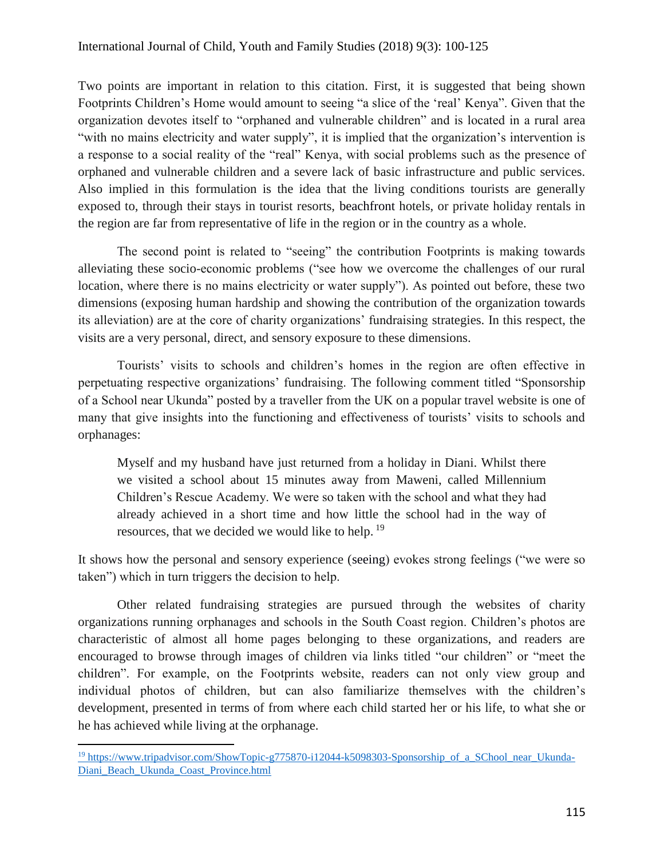Two points are important in relation to this citation. First, it is suggested that being shown Footprints Children's Home would amount to seeing "a slice of the 'real' Kenya". Given that the organization devotes itself to "orphaned and vulnerable children" and is located in a rural area "with no mains electricity and water supply", it is implied that the organization's intervention is a response to a social reality of the "real" Kenya, with social problems such as the presence of orphaned and vulnerable children and a severe lack of basic infrastructure and public services. Also implied in this formulation is the idea that the living conditions tourists are generally exposed to, through their stays in tourist resorts, beachfront hotels, or private holiday rentals in the region are far from representative of life in the region or in the country as a whole.

The second point is related to "seeing" the contribution Footprints is making towards alleviating these socio-economic problems ("see how we overcome the challenges of our rural location, where there is no mains electricity or water supply"). As pointed out before, these two dimensions (exposing human hardship and showing the contribution of the organization towards its alleviation) are at the core of charity organizations' fundraising strategies. In this respect, the visits are a very personal, direct, and sensory exposure to these dimensions.

Tourists' visits to schools and children's homes in the region are often effective in perpetuating respective organizations' fundraising. The following comment titled "Sponsorship of a School near Ukunda" posted by a traveller from the UK on a popular travel website is one of many that give insights into the functioning and effectiveness of tourists' visits to schools and orphanages:

Myself and my husband have just returned from a holiday in Diani. Whilst there we visited a school about 15 minutes away from Maweni, called Millennium Children's Rescue Academy. We were so taken with the school and what they had already achieved in a short time and how little the school had in the way of resources, that we decided we would like to help. <sup>19</sup>

It shows how the personal and sensory experience (seeing) evokes strong feelings ("we were so taken") which in turn triggers the decision to help.

Other related fundraising strategies are pursued through the websites of charity organizations running orphanages and schools in the South Coast region. Children's photos are characteristic of almost all home pages belonging to these organizations, and readers are encouraged to browse through images of children via links titled "our children" or "meet the children". For example, on the Footprints website, readers can not only view group and individual photos of children, but can also familiarize themselves with the children's development, presented in terms of from where each child started her or his life, to what she or he has achieved while living at the orphanage.

<sup>&</sup>lt;sup>19</sup> https://www.tripadvisor.com/ShowTopic-g775870-i12044-k5098303-Sponsorship\_of\_a\_SChool\_near\_Ukunda-Diani\_Beach\_Ukunda\_Coast\_Province.html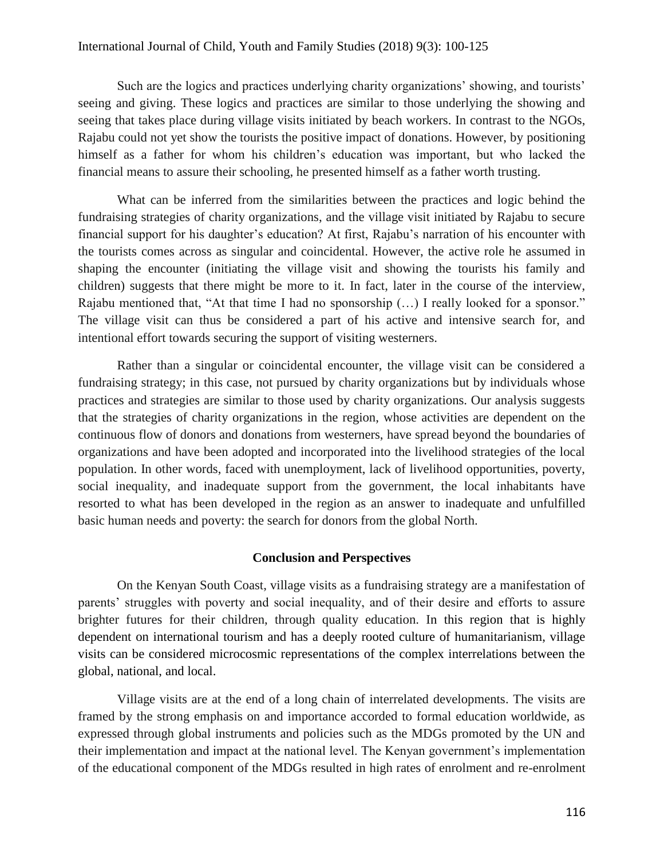### International Journal of Child, Youth and Family Studies (2018) 9(3): 100-125

Such are the logics and practices underlying charity organizations' showing, and tourists' seeing and giving. These logics and practices are similar to those underlying the showing and seeing that takes place during village visits initiated by beach workers. In contrast to the NGOs, Rajabu could not yet show the tourists the positive impact of donations. However, by positioning himself as a father for whom his children's education was important, but who lacked the financial means to assure their schooling, he presented himself as a father worth trusting.

What can be inferred from the similarities between the practices and logic behind the fundraising strategies of charity organizations, and the village visit initiated by Rajabu to secure financial support for his daughter's education? At first, Rajabu's narration of his encounter with the tourists comes across as singular and coincidental. However, the active role he assumed in shaping the encounter (initiating the village visit and showing the tourists his family and children) suggests that there might be more to it. In fact, later in the course of the interview, Rajabu mentioned that, "At that time I had no sponsorship (…) I really looked for a sponsor." The village visit can thus be considered a part of his active and intensive search for, and intentional effort towards securing the support of visiting westerners.

Rather than a singular or coincidental encounter, the village visit can be considered a fundraising strategy; in this case, not pursued by charity organizations but by individuals whose practices and strategies are similar to those used by charity organizations. Our analysis suggests that the strategies of charity organizations in the region, whose activities are dependent on the continuous flow of donors and donations from westerners, have spread beyond the boundaries of organizations and have been adopted and incorporated into the livelihood strategies of the local population. In other words, faced with unemployment, lack of livelihood opportunities, poverty, social inequality, and inadequate support from the government, the local inhabitants have resorted to what has been developed in the region as an answer to inadequate and unfulfilled basic human needs and poverty: the search for donors from the global North.

# **Conclusion and Perspectives**

On the Kenyan South Coast, village visits as a fundraising strategy are a manifestation of parents' struggles with poverty and social inequality, and of their desire and efforts to assure brighter futures for their children, through quality education. In this region that is highly dependent on international tourism and has a deeply rooted culture of humanitarianism, village visits can be considered microcosmic representations of the complex interrelations between the global, national, and local.

Village visits are at the end of a long chain of interrelated developments. The visits are framed by the strong emphasis on and importance accorded to formal education worldwide, as expressed through global instruments and policies such as the MDGs promoted by the UN and their implementation and impact at the national level. The Kenyan government's implementation of the educational component of the MDGs resulted in high rates of enrolment and re-enrolment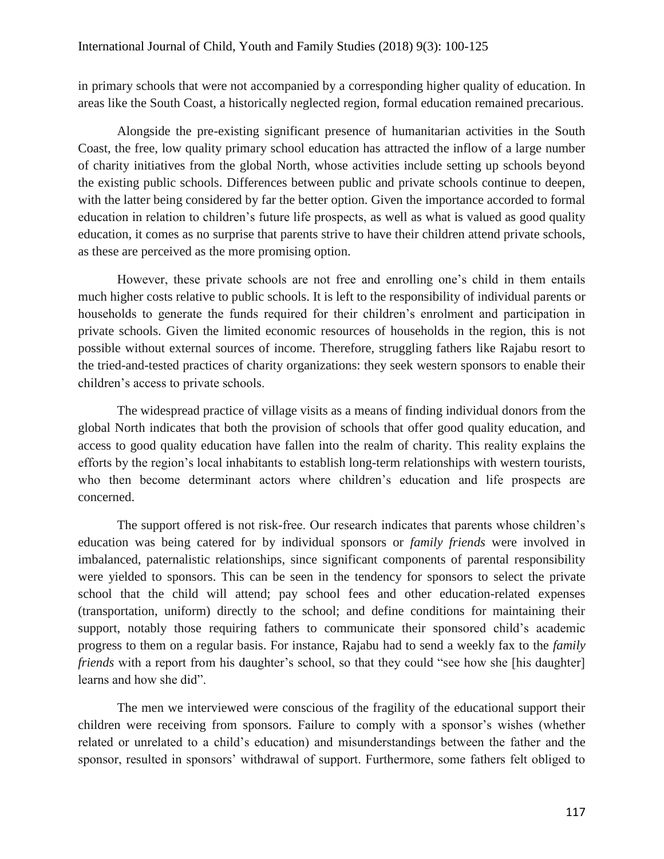in primary schools that were not accompanied by a corresponding higher quality of education. In areas like the South Coast, a historically neglected region, formal education remained precarious.

Alongside the pre-existing significant presence of humanitarian activities in the South Coast, the free, low quality primary school education has attracted the inflow of a large number of charity initiatives from the global North, whose activities include setting up schools beyond the existing public schools. Differences between public and private schools continue to deepen, with the latter being considered by far the better option. Given the importance accorded to formal education in relation to children's future life prospects, as well as what is valued as good quality education, it comes as no surprise that parents strive to have their children attend private schools, as these are perceived as the more promising option.

However, these private schools are not free and enrolling one's child in them entails much higher costs relative to public schools. It is left to the responsibility of individual parents or households to generate the funds required for their children's enrolment and participation in private schools. Given the limited economic resources of households in the region, this is not possible without external sources of income. Therefore, struggling fathers like Rajabu resort to the tried-and-tested practices of charity organizations: they seek western sponsors to enable their children's access to private schools.

The widespread practice of village visits as a means of finding individual donors from the global North indicates that both the provision of schools that offer good quality education, and access to good quality education have fallen into the realm of charity. This reality explains the efforts by the region's local inhabitants to establish long-term relationships with western tourists, who then become determinant actors where children's education and life prospects are concerned.

The support offered is not risk-free. Our research indicates that parents whose children's education was being catered for by individual sponsors or *family friends* were involved in imbalanced, paternalistic relationships, since significant components of parental responsibility were yielded to sponsors. This can be seen in the tendency for sponsors to select the private school that the child will attend; pay school fees and other education-related expenses (transportation, uniform) directly to the school; and define conditions for maintaining their support, notably those requiring fathers to communicate their sponsored child's academic progress to them on a regular basis. For instance, Rajabu had to send a weekly fax to the *family friends* with a report from his daughter's school, so that they could "see how she [his daughter] learns and how she did".

The men we interviewed were conscious of the fragility of the educational support their children were receiving from sponsors. Failure to comply with a sponsor's wishes (whether related or unrelated to a child's education) and misunderstandings between the father and the sponsor, resulted in sponsors' withdrawal of support. Furthermore, some fathers felt obliged to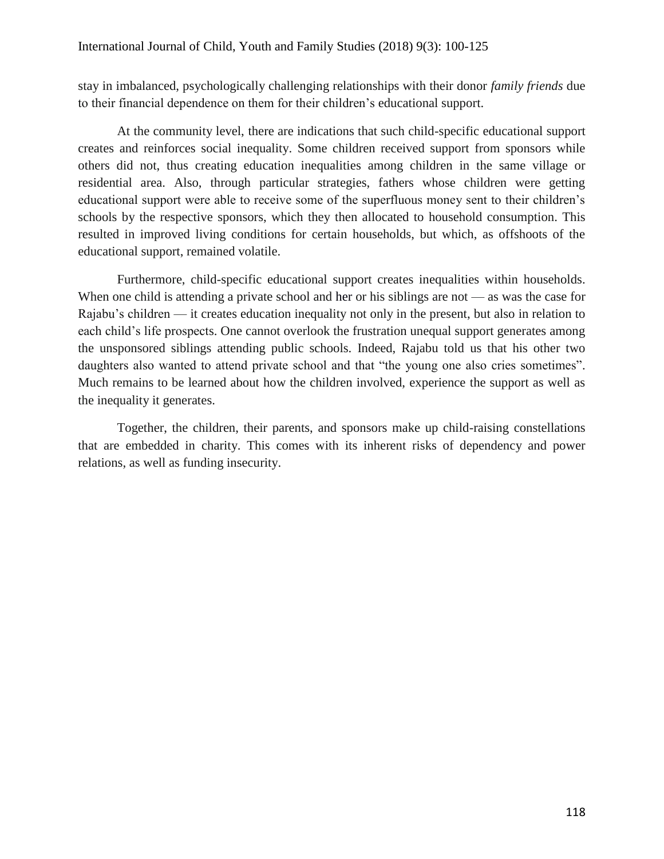stay in imbalanced, psychologically challenging relationships with their donor *family friends* due to their financial dependence on them for their children's educational support.

At the community level, there are indications that such child-specific educational support creates and reinforces social inequality. Some children received support from sponsors while others did not, thus creating education inequalities among children in the same village or residential area. Also, through particular strategies, fathers whose children were getting educational support were able to receive some of the superfluous money sent to their children's schools by the respective sponsors, which they then allocated to household consumption. This resulted in improved living conditions for certain households, but which, as offshoots of the educational support, remained volatile.

Furthermore, child-specific educational support creates inequalities within households. When one child is attending a private school and her or his siblings are not — as was the case for Rajabu's children — it creates education inequality not only in the present, but also in relation to each child's life prospects. One cannot overlook the frustration unequal support generates among the unsponsored siblings attending public schools. Indeed, Rajabu told us that his other two daughters also wanted to attend private school and that "the young one also cries sometimes". Much remains to be learned about how the children involved, experience the support as well as the inequality it generates.

Together, the children, their parents, and sponsors make up child-raising constellations that are embedded in charity. This comes with its inherent risks of dependency and power relations, as well as funding insecurity.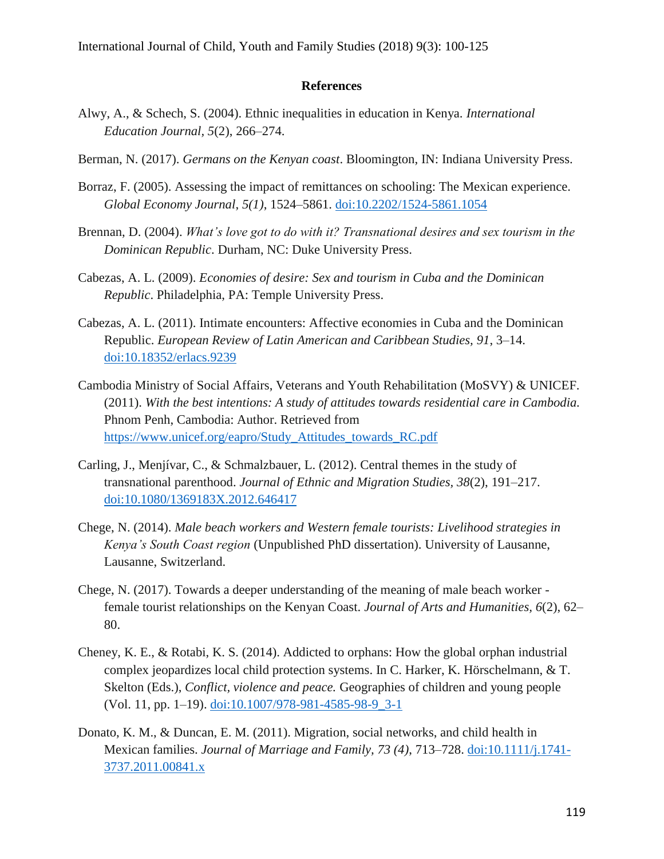# **References**

- Alwy, A., & Schech, S. (2004). Ethnic inequalities in education in Kenya. *International Education Journal, 5*(2), 266–274.
- Berman, N. (2017). *Germans on the Kenyan coast*. Bloomington, IN: Indiana University Press.
- Borraz, F. (2005). Assessing the impact of remittances on schooling: The Mexican experience. *Global Economy Journal*, *5(1)*, 1524–5861. [doi:10.2202/1524-5861.1054](http://dx.doi.org/10.2202/1524-5861.1054)
- Brennan, D. (2004). *What's love got to do with it? Transnational desires and sex tourism in the Dominican Republic*. Durham, NC: Duke University Press.
- Cabezas, A. L. (2009). *Economies of desire: Sex and tourism in Cuba and the Dominican Republic*. Philadelphia, PA: Temple University Press.
- Cabezas, A. L. (2011). Intimate encounters: Affective economies in Cuba and the Dominican Republic. *European Review of Latin American and Caribbean Studies, 91*, 3–14. [doi:10.18352/erlacs.9239](http://dx.doi.org/10.18352/erlacs.9239)
- Cambodia Ministry of Social Affairs, Veterans and Youth Rehabilitation (MoSVY) & UNICEF. (2011). *With the best intentions: A study of attitudes towards residential care in Cambodia.* Phnom Penh, Cambodia: Author. Retrieved from [https://www.unicef.org/eapro/Study\\_Attitudes\\_towards\\_RC.pdf](https://www.unicef.org/eapro/Study_Attitudes_towards_RC.pdf)
- Carling, J., Menjívar, C., & Schmalzbauer, L. (2012). Central themes in the study of transnational parenthood. *Journal of Ethnic and Migration Studies, 38*(2), 191–217. [doi:10.1080/1369183X.2012.646417](http://dx.doi.org/10.1080/1369183X.2012.646417)
- Chege, N. (2014). *Male beach workers and Western female tourists: Livelihood strategies in Kenya's South Coast region* (Unpublished PhD dissertation). University of Lausanne, Lausanne, Switzerland.
- Chege, N. (2017). Towards a deeper understanding of the meaning of male beach worker female tourist relationships on the Kenyan Coast. *Journal of Arts and Humanities, 6*(2), 62– 80.
- Cheney, K. E., & Rotabi, K. S. (2014). Addicted to orphans: How the global orphan industrial complex jeopardizes local child protection systems. In C. Harker, K. Hörschelmann, & T. Skelton (Eds.), *Conflict, violence and peace.* Geographies of children and young people (Vol. 11, pp. 1–19). [doi:10.1007/978-981-4585-98-9\\_3-1](http://dx.doi.org/10.1007/978-981-4585-98-9_3-1)
- Donato, K. M., & Duncan, E. M. (2011). Migration, social networks, and child health in Mexican families. *Journal of Marriage and Family, 73 (4)*, 713–728. [doi:10.1111/j.1741-](http://dx.doi.org/10.1111/j.1741-3737.2011.00841.x) [3737.2011.00841.x](http://dx.doi.org/10.1111/j.1741-3737.2011.00841.x)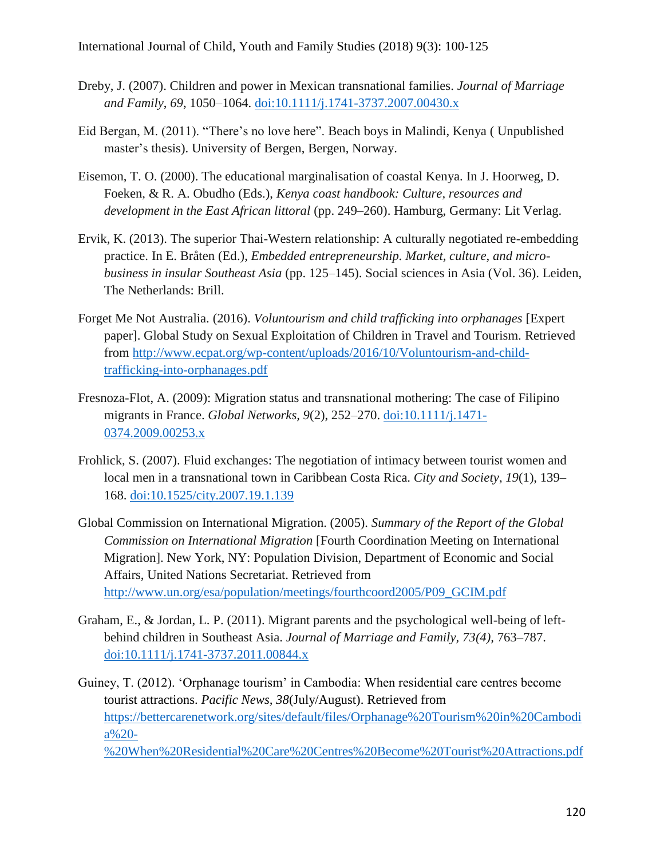- Dreby, J. (2007). Children and power in Mexican transnational families. *Journal of Marriage and Family*, *69*, 1050–1064. [doi:10.1111/j.1741-3737.2007.00430.x](http://dx.doi.org/10.1111/j.1741-3737.2007.00430.x)
- Eid Bergan, M. (2011). "There's no love here". Beach boys in Malindi, Kenya ( Unpublished master's thesis). University of Bergen, Bergen, Norway.
- Eisemon, T. O. (2000). The educational marginalisation of coastal Kenya. In J. Hoorweg, D. Foeken, & R. A. Obudho (Eds.), *Kenya coast handbook: Culture, resources and development in the East African littoral* (pp. 249–260). Hamburg, Germany: Lit Verlag.
- Ervik, K. (2013). The superior Thai-Western relationship: A culturally negotiated re-embedding practice. In E. Bråten (Ed.), *Embedded entrepreneurship. Market, culture, and microbusiness in insular Southeast Asia* (pp. 125–145). Social sciences in Asia (Vol. 36). Leiden, The Netherlands: Brill.
- Forget Me Not Australia. (2016). *Voluntourism and child trafficking into orphanages* [Expert paper]. Global Study on Sexual Exploitation of Children in Travel and Tourism. Retrieved from http://www.ecpat.org/wp-content/uploads/2016/10/Voluntourism-and-childtrafficking-into-orphanages.pdf
- Fresnoza-Flot, A. (2009): Migration status and transnational mothering: The case of Filipino migrants in France. *Global Networks, 9*(2), 252–270. [doi:10.1111/j.1471-](http://dx.doi.org/10.1111/j.1471-0374.2009.00253.x) [0374.2009.00253.x](http://dx.doi.org/10.1111/j.1471-0374.2009.00253.x)
- Frohlick, S. (2007). Fluid exchanges: The negotiation of intimacy between tourist women and local men in a transnational town in Caribbean Costa Rica. *City and Society*, *19*(1), 139– 168. [doi:10.1525/city.2007.19.1.139](http://dx.doi.org/10.1525/city.2007.19.1.139)
- Global Commission on International Migration. (2005). *Summary of the Report of the Global Commission on International Migration* [Fourth Coordination Meeting on International Migration]. New York, NY: Population Division, Department of Economic and Social Affairs, United Nations Secretariat. Retrieved from http://www.un.org/esa/population/meetings/fourthcoord2005/P09\_GCIM.pdf
- Graham, E., & Jordan, L. P. (2011). Migrant parents and the psychological well-being of leftbehind children in Southeast Asia. *Journal of Marriage and Family, 73(4),* 763–787. [doi:10.1111/j.1741-3737.2011.00844.x](http://dx.doi.org/10.1111/j.1741-3737.2011.00844.x)
- Guiney, T. (2012). 'Orphanage tourism' in Cambodia: When residential care centres become tourist attractions. *Pacific News, 38*(July/August). Retrieved from [https://bettercarenetwork.org/sites/default/files/Orphanage%20Tourism%20in%20Cambodi](https://bettercarenetwork.org/sites/default/files/Orphanage%20Tourism%20in%20Cambodia%20-%20When%20Residential%20Care%20Centres%20Become%20Tourist%20Attractions.pdf) [a%20-](https://bettercarenetwork.org/sites/default/files/Orphanage%20Tourism%20in%20Cambodia%20-%20When%20Residential%20Care%20Centres%20Become%20Tourist%20Attractions.pdf) [%20When%20Residential%20Care%20Centres%20Become%20Tourist%20Attractions.pdf](https://bettercarenetwork.org/sites/default/files/Orphanage%20Tourism%20in%20Cambodia%20-%20When%20Residential%20Care%20Centres%20Become%20Tourist%20Attractions.pdf)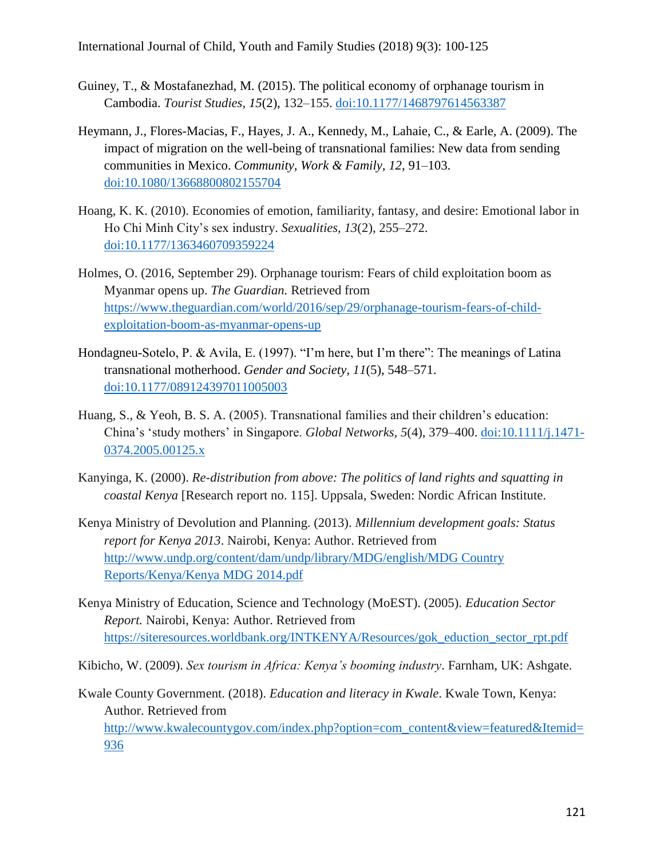- Guiney, T., & Mostafanezhad, M. (2015). The political economy of orphanage tourism in Cambodia. *Tourist Studies, 15*(2), 132–155. [doi:10.1177/1468797614563387](http://dx.doi.org/10.1177/1468797614563387)
- Heymann, J., Flores-Macias, F., Hayes, J. A., Kennedy, M., Lahaie, C., & Earle, A. (2009). The impact of migration on the well-being of transnational families: New data from sending communities in Mexico. *Community, Work & Family, 12*, 91–103. [doi:10.1080/13668800802155704](http://dx.doi.org/10.1080/13668800802155704)
- Hoang, K. K. (2010). Economies of emotion, familiarity, fantasy, and desire: Emotional labor in Ho Chi Minh City's sex industry. *Sexualities, 13*(2), 255–272. [doi:10.1177/1363460709359224](http://dx.doi.org/10.1177/1363460709359224)
- Holmes, O. (2016, September 29). Orphanage tourism: Fears of child exploitation boom as Myanmar opens up. *The Guardian.* Retrieved from [https://www.theguardian.com/world/2016/sep/29/orphanage-tourism-fears-of-child](https://www.theguardian.com/world/2016/sep/29/orphanage-tourism-fears-of-child-exploitation-boom-as-myanmar-opens-up)[exploitation-boom-as-myanmar-opens-up](https://www.theguardian.com/world/2016/sep/29/orphanage-tourism-fears-of-child-exploitation-boom-as-myanmar-opens-up)
- Hondagneu-Sotelo, P. & Avila, E. (1997). "I'm here, but I'm there": The meanings of Latina transnational motherhood. *Gender and Society, 11*(5), 548–571. [doi:10.1177/089124397011005003](http://dx.doi.org/10.1177/089124397011005003)
- Huang, S., & Yeoh, B. S. A. (2005). Transnational families and their children's education: China's 'study mothers' in Singapore. *Global Networks, 5*(4), 379–400. [doi:10.1111/j.1471-](http://dx.doi.org/10.1111/j.1471-0374.2005.00125.x) [0374.2005.00125.x](http://dx.doi.org/10.1111/j.1471-0374.2005.00125.x)
- Kanyinga, K. (2000). *Re-distribution from above: The politics of land rights and squatting in coastal Kenya* [Research report no. 115]. Uppsala, Sweden: Nordic African Institute.
- Kenya Ministry of Devolution and Planning. (2013). *Millennium development goals: Status report for Kenya 2013*. Nairobi, Kenya: Author. Retrieved from [http://www.undp.org/content/dam/undp/library/MDG/english/MDG Country](http://www.undp.org/content/dam/undp/library/MDG/english/MDG%20Country%20Reports/Kenya/Kenya%20MDG%202014.pdf)  [Reports/Kenya/Kenya MDG 2014.pdf](http://www.undp.org/content/dam/undp/library/MDG/english/MDG%20Country%20Reports/Kenya/Kenya%20MDG%202014.pdf)
- Kenya Ministry of Education, Science and Technology (MoEST). (2005). *Education Sector Report.* Nairobi, Kenya: Author. Retrieved from [https://siteresources.worldbank.org/INTKENYA/Resources/gok\\_eduction\\_sector\\_rpt.pdf](https://siteresources.worldbank.org/INTKENYA/Resources/gok_eduction_sector_rpt.pdf)

Kibicho, W. (2009). *Sex tourism in Africa: Kenya's booming industry*. Farnham, UK: Ashgate.

Kwale County Government. (2018). *Education and literacy in Kwale*. Kwale Town, Kenya: Author. Retrieved from [http://www.kwalecountygov.com/index.php?option=com\\_content&view=featured&Itemid=](http://www.kwalecountygov.com/index.php?option=com_content&view=featured&Itemid=936) [936](http://www.kwalecountygov.com/index.php?option=com_content&view=featured&Itemid=936)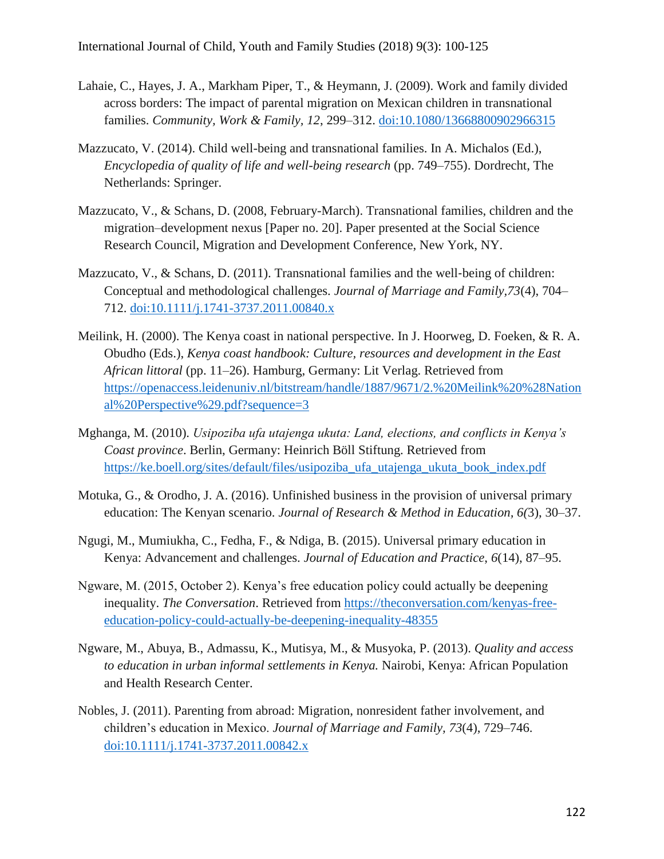- Lahaie, C., Hayes, J. A., Markham Piper, T., & Heymann, J. (2009). Work and family divided across borders: The impact of parental migration on Mexican children in transnational families. *Community, Work & Family, 12*, 299–312. [doi:10.1080/13668800902966315](http://dx.doi.org/10.1080/13668800902966315)
- Mazzucato, V. (2014). Child well-being and transnational families. In A. Michalos (Ed.), *Encyclopedia of quality of life and well-being research* (pp. 749–755). Dordrecht, The Netherlands: Springer.
- Mazzucato, V., & Schans, D. (2008, February-March). Transnational families, children and the migration–development nexus [Paper no. 20]. Paper presented at the Social Science Research Council, Migration and Development Conference, New York, NY.
- Mazzucato, V., & Schans, D. (2011). Transnational families and the well-being of children: Conceptual and methodological challenges. *Journal of Marriage and Family,73*(4), 704– 712. [doi:10.1111/j.1741-3737.2011.00840.x](http://dx.doi.org/10.1111/j.1741-3737.2011.00840.x)
- Meilink, H. (2000). The Kenya coast in national perspective. In J. Hoorweg, D. Foeken, & R. A. Obudho (Eds.), *Kenya coast handbook: Culture, resources and development in the East African littoral* (pp. 11–26). Hamburg, Germany: Lit Verlag. Retrieved from [https://openaccess.leidenuniv.nl/bitstream/handle/1887/9671/2.%20Meilink%20%28Nation](https://openaccess.leidenuniv.nl/bitstream/handle/1887/9671/2.%20Meilink%20(National%20Perspective).pdf?sequence=3) [al%20Perspective%29.pdf?sequence=3](https://openaccess.leidenuniv.nl/bitstream/handle/1887/9671/2.%20Meilink%20(National%20Perspective).pdf?sequence=3)
- Mghanga, M. (2010). *Usipoziba ufa utajenga ukuta: Land, elections, and conflicts in Kenya's Coast province*. Berlin, Germany: Heinrich Böll Stiftung. Retrieved from [https://ke.boell.org/sites/default/files/usipoziba\\_ufa\\_utajenga\\_ukuta\\_book\\_index.pdf](https://ke.boell.org/sites/default/files/usipoziba_ufa_utajenga_ukuta_book_index.pdf)
- Motuka, G., & Orodho, J. A. (2016). Unfinished business in the provision of universal primary education: The Kenyan scenario. *Journal of Research & Method in Education, 6(*3), 30–37.
- Ngugi, M., Mumiukha, C., Fedha, F., & Ndiga, B. (2015). Universal primary education in Kenya: Advancement and challenges. *Journal of Education and Practice*, *6*(14), 87–95.
- Ngware, M. (2015, October 2). Kenya's free education policy could actually be deepening inequality. *The Conversation*. Retrieved from https://theconversation.com/kenyas-freeeducation-policy-could-actually-be-deepening-inequality-48355
- Ngware, M., Abuya, B., Admassu, K., Mutisya, M., & Musyoka, P. (2013). *Quality and access to education in urban informal settlements in Kenya.* Nairobi, Kenya: African Population and Health Research Center.
- Nobles, J. (2011). Parenting from abroad: Migration, nonresident father involvement, and children's education in Mexico. *Journal of Marriage and Family, 73*(4), 729–746. [doi:10.1111/j.1741-3737.2011.00842.x](http://dx.doi.org/10.1111/j.1741-3737.2011.00842.x)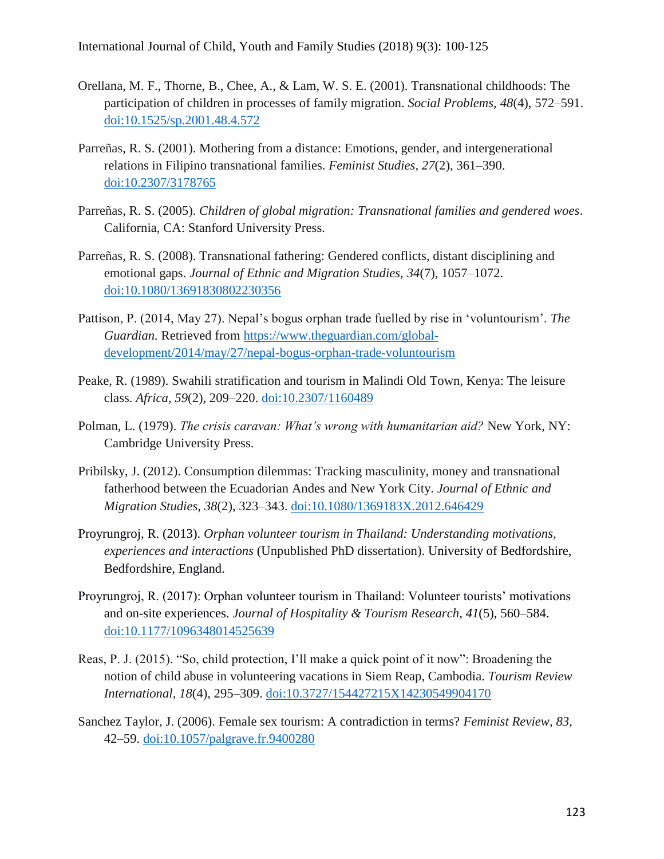- Orellana, M. F., Thorne, B., Chee, A., & Lam, W. S. E. (2001). Transnational childhoods: The participation of children in processes of family migration. *Social Problems*, *48*(4), 572–591. [doi:10.1525/sp.2001.48.4.572](http://dx.doi.org/10.1525/sp.2001.48.4.572)
- Parreñas, R. S. (2001). Mothering from a distance: Emotions, gender, and intergenerational relations in Filipino transnational families. *Feminist Studies, 27*(2), 361–390. [doi:10.2307/3178765](http://dx.doi.org/10.2307/3178765)
- Parreñas, R. S. (2005). *Children of global migration: Transnational families and gendered woes*. California, CA: Stanford University Press.
- Parreñas, R. S. (2008). Transnational fathering: Gendered conflicts, distant disciplining and emotional gaps. *Journal of Ethnic and Migration Studies, 34*(7), 1057–1072. [doi:10.1080/13691830802230356](http://dx.doi.org/10.1080/13691830802230356)
- Pattison, P. (2014, May 27). Nepal's bogus orphan trade fuelled by rise in 'voluntourism'. *The Guardian.* Retrieved from [https://www.theguardian.com/global](https://www.theguardian.com/global-development/2014/may/27/nepal-bogus-orphan-trade-voluntourism)[development/2014/may/27/nepal-bogus-orphan-trade-voluntourism](https://www.theguardian.com/global-development/2014/may/27/nepal-bogus-orphan-trade-voluntourism)
- Peake, R. (1989). Swahili stratification and tourism in Malindi Old Town, Kenya: The leisure class. *Africa, 59*(2), 209–220. [doi:10.2307/1160489](http://dx.doi.org/10.2307/1160489)
- Polman, L. (1979). *The crisis caravan: What's wrong with humanitarian aid?* New York, NY: Cambridge University Press.
- Pribilsky, J. (2012). Consumption dilemmas: Tracking masculinity, money and transnational fatherhood between the Ecuadorian Andes and New York City. *Journal of Ethnic and Migration Studies, 38*(2), 323–343. [doi:10.1080/1369183X.2012.646429](http://dx.doi.org/10.1080/1369183X.2012.646429)
- Proyrungroj, R. (2013). *Orphan volunteer tourism in Thailand: Understanding motivations, experiences and interactions* (Unpublished PhD dissertation). University of Bedfordshire, Bedfordshire, England.
- Proyrungroj, R. (2017): Orphan volunteer tourism in Thailand: Volunteer tourists' motivations and on-site experiences. *Journal of Hospitality & Tourism Research, 41*(5), 560–584. [doi:10.1177/1096348014525639](http://dx.doi.org/10.1177/1096348014525639)
- Reas, P. J. (2015). "So, child protection, I'll make a quick point of it now": Broadening the notion of child abuse in volunteering vacations in Siem Reap, Cambodia. *Tourism Review International, 18*(4), 295–309. [doi:10.3727/154427215X14230549904170](http://dx.doi.org/10.3727/154427215X14230549904170)
- Sanchez Taylor, J. (2006). Female sex tourism: A contradiction in terms? *Feminist Review, 83*, 42–59. [doi:10.1057/palgrave.fr.9400280](http://dx.doi.org/10.1057/palgrave.fr.9400280)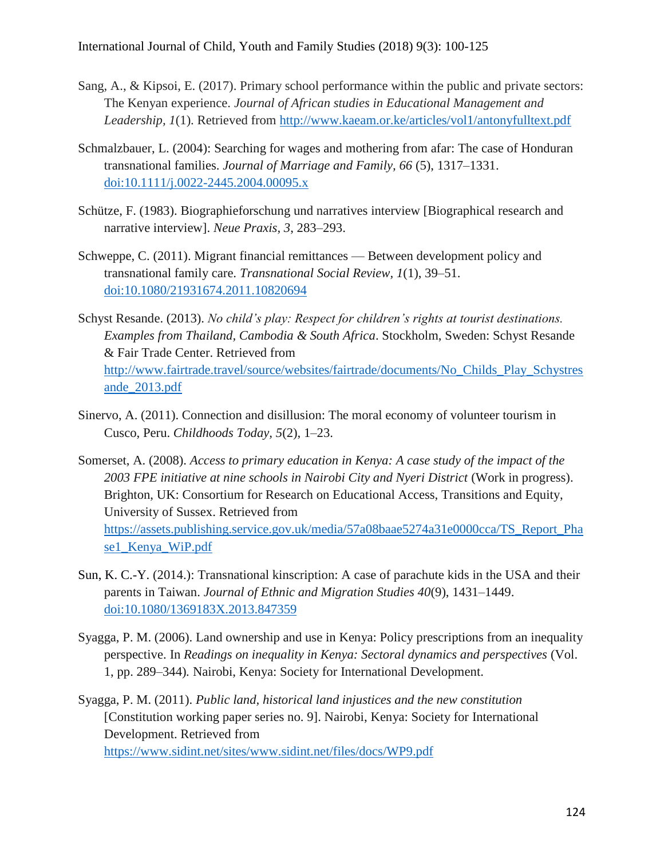- Sang, A., & Kipsoi, E. (2017). Primary school performance within the public and private sectors: The Kenyan experience. *Journal of African studies in Educational Management and Leadership, 1*(1). Retrieved from<http://www.kaeam.or.ke/articles/vol1/antonyfulltext.pdf>
- Schmalzbauer, L. (2004): Searching for wages and mothering from afar: The case of Honduran transnational families. *Journal of Marriage and Family, 66* (5), 1317–1331. [doi:10.1111/j.0022-2445.2004.00095.x](http://dx.doi.org/10.1111/j.0022-2445.2004.00095.x)
- Schütze, F. (1983). Biographieforschung und narratives interview [Biographical research and narrative interview]. *Neue Praxis, 3*, 283–293.
- Schweppe, C. (2011). Migrant financial remittances Between development policy and transnational family care. *Transnational Social Review, 1*(1), 39–51. [doi:10.1080/21931674.2011.10820694](http://dx.doi.org/10.1080/21931674.2011.10820694)
- Schyst Resande. (2013). *No child's play: Respect for children's rights at tourist destinations. Examples from Thailand, Cambodia & South Africa*. Stockholm, Sweden: Schyst Resande & Fair Trade Center. Retrieved from [http://www.fairtrade.travel/source/websites/fairtrade/documents/No\\_Childs\\_Play\\_Schystres](http://www.fairtrade.travel/source/websites/fairtrade/documents/No_Childs_Play_Schystresande_2013.pdf) [ande\\_2013.pdf](http://www.fairtrade.travel/source/websites/fairtrade/documents/No_Childs_Play_Schystresande_2013.pdf)
- Sinervo, A. (2011). Connection and disillusion: The moral economy of volunteer tourism in Cusco, Peru. *Childhoods Today, 5*(2), 1–23.
- Somerset, A. (2008). *Access to primary education in Kenya: A case study of the impact of the 2003 FPE initiative at nine schools in Nairobi City and Nyeri District* (Work in progress). Brighton, UK: Consortium for Research on Educational Access, Transitions and Equity, University of Sussex. Retrieved from [https://assets.publishing.service.gov.uk/media/57a08baae5274a31e0000cca/TS\\_Report\\_Pha](https://assets.publishing.service.gov.uk/media/57a08baae5274a31e0000cca/TS_Report_Phase1_Kenya_WiP.pdf) [se1\\_Kenya\\_WiP.pdf](https://assets.publishing.service.gov.uk/media/57a08baae5274a31e0000cca/TS_Report_Phase1_Kenya_WiP.pdf)
- [Sun, K. C.-Y.](https://www.tandfonline.com/author/Sun%2C+Ken+Chih-Yan) (2014.): Transnational kinscription: A case of parachute kids in the USA and their parents in Taiwan. *Journal of Ethnic and Migration Studies 40*(9), 1431–1449. [doi:10.1080/1369183X.2013.847359](http://dx.doi.org/10.1080/1369183X.2013.847359)
- Syagga, P. M. (2006). Land ownership and use in Kenya: Policy prescriptions from an inequality perspective. In *Readings on inequality in Kenya: Sectoral dynamics and perspectives* (Vol. 1, pp. 289–344)*.* Nairobi, Kenya: Society for International Development.
- Syagga, P. M. (2011). *Public land, historical land injustices and the new constitution* [Constitution working paper series no. 9]. Nairobi, Kenya: Society for International Development. Retrieved from <https://www.sidint.net/sites/www.sidint.net/files/docs/WP9.pdf>